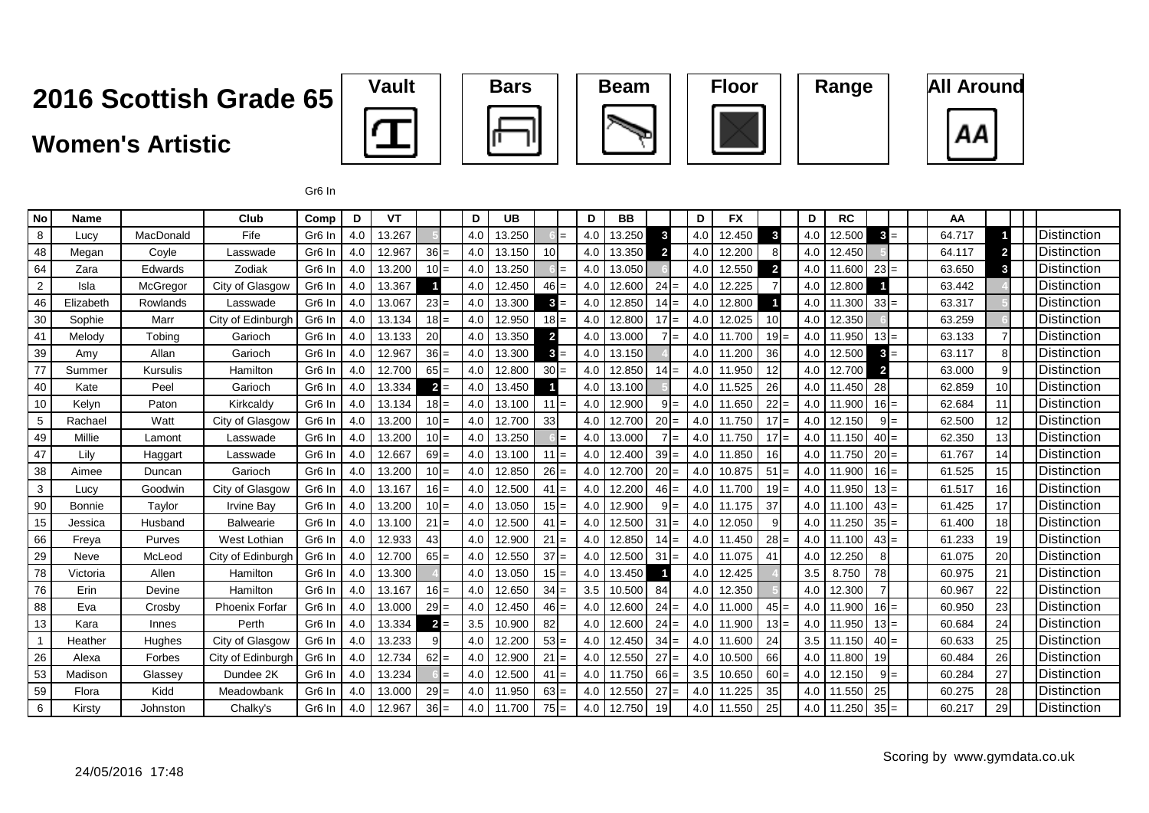Gr6 In









| <b>No</b>      | <b>Name</b>   |           | Club                  | Comp               | D   | VT     |                 | D   | <b>UB</b> |                 | D   | BB     |                         | D                       | <b>FX</b> |                | D   | <b>RC</b> |                     | AA     |                 |                     |
|----------------|---------------|-----------|-----------------------|--------------------|-----|--------|-----------------|-----|-----------|-----------------|-----|--------|-------------------------|-------------------------|-----------|----------------|-----|-----------|---------------------|--------|-----------------|---------------------|
| 8              | Lucy          | MacDonald | Fife                  | Gr <sub>6</sub> In | 4.0 | 13.267 |                 | 4.0 | 13.250    |                 | 4.0 | 13.250 | 3                       | 4.0                     | 12.450    | $\mathbf{3}$   | 4.0 | 12.500    | $3 =$               | 64.717 |                 | <b>Distinction</b>  |
| 48             | Megan         | Coyle     | Lasswade              | Gr <sub>6</sub> In | 4.0 | 12.967 | $36 =$          | 4.0 | 13.150    | 10 <sup>1</sup> | 4.0 | 13.350 | $\overline{\mathbf{2}}$ | 4.0                     | 12.200    | 8              | 4.0 | 12.450    |                     | 64.117 | $\overline{2}$  | Distinction         |
| 64             | Zara          | Edwards   | Zodiak                | Gr <sub>6</sub> In | 4.0 | 13.200 | $10 =$          | 4.0 | 13.250    |                 | 4.0 | 13.050 |                         | 4.0                     | 12.550    | $\overline{2}$ | 4.0 | 11.600    | 23<br>$=$           | 63.650 | 3               | <b>Distinction</b>  |
| $\overline{2}$ | Isla          | McGregor  | City of Glasgow       | Gr <sub>6</sub> In | 4.0 | 13.367 |                 | 4.0 | 12.450    | $46 =$          | 4.0 | 12.600 | 24                      | 4.0                     | 12.225    |                | 4.0 | 12.800    |                     | 63.442 |                 | Distinction         |
| 46             | Elizabeth     | Rowlands  | Lasswade              | Gr <sub>6</sub> In | 4.0 | 13.067 | $23 =$          | 4.0 | 13.300    | $3 =$           | 4.0 | 12.850 | 14                      | 4.0<br>$=$              | 12.800    |                | 4.0 | 11.300    | 33<br>$=$           | 63.317 |                 | Distinction         |
| 30             | Sophie        | Marr      | City of Edinburgh     | Gr <sub>6</sub> In | 4.0 | 13.134 | $18 =$          | 4.0 | 12.950    | $18 =$          | 4.0 | 12.800 | 17                      | 4.0<br>$=$              | 12.025    | 10             | 4.0 | 12.350    |                     | 63.259 |                 | Distinction         |
| 41             | Melody        | Tobina    | Garioch               | Gr <sub>6</sub> In | 4.0 | 13.133 | 20 <sup>1</sup> | 4.0 | 13.350    | $\overline{2}$  | 4.0 | 13.000 |                         | 4.0<br>$=$              | 11.700    | 19             | 4.0 | 11.950    | $13 =$              | 63.133 |                 | Distinction         |
| 39             | Amy           | Allan     | Garioch               | Gr <sub>6</sub> In | 4.0 | 12.967 | $36 =$          | 4.0 | 13.300    | $3 =$           | 4.0 | 13.150 |                         | 4.0                     | 11.200    | 36             | 4.0 | 12.500    | $\mathbf{3}$<br>$=$ | 63.117 | 8               | Distinction         |
| 77             | Summer        | Kursulis  | Hamilton              | Gr <sub>6</sub> In | 4.0 | 12.700 | $65 =$          | 4.0 | 12.800    | $30 =$          | 4.0 | 12.850 | $14 =$                  | 4.0                     | 11.950    | 12             | 4.0 | 12.700    | $\mathbf{2}$        | 63.000 | 9               | Distinction         |
| 40             | Kate          | Peel      | Garioch               | Gr <sub>6</sub> In | 4.0 | 13.334 | $2 =$           | 4.0 | 13.450    |                 | 4.0 | 13.100 |                         | 4.0                     | 11.525    | 26             | 4.0 | 11.450    | 28                  | 62.859 | 10 <sup>1</sup> | <b>Distinction</b>  |
| 10             | Kelyn         | Paton     | Kirkcaldy             | Gr <sub>6</sub> In | 4.0 | 13.134 | $18 =$          | 4.0 | 13.100    | $11 =$          | 4.0 | 12.900 | 9                       | 4.0<br>$=$              | 11.650    | 22             | 4.0 | 11.900    | $16 =$              | 62.684 | 11              | <b>Distinction</b>  |
| 5              | Rachael       | Watt      | City of Glasgow       | Gr <sub>6</sub> In | 4.0 | 13.200 | $10 =$          | 4.0 | 12.700    | 33              | 4.0 | 12.700 | 20                      | 4.0<br>$=$              | 11.750    | $17 =$         | 4.0 | 12.150    | 9<br>$=$            | 62.500 | 12              | <b>Distinction</b>  |
| 49             | Millie        | Lamont    | Lasswade              | Gr <sub>6</sub> In | 4.0 | 13.200 | $10 =$          | 4.0 | 13.250    |                 | 4.0 | 13.000 |                         | 4.0 <sub>1</sub><br>$=$ | 11.750    | $17 =$         | 4.0 | 11.150    | 40<br>$=$           | 62.350 | 13 <sup>1</sup> | <b>Distinction</b>  |
| 47             | Lilv          | Haggart   | Lasswade              | Gr <sub>6</sub> In | 4.0 | 12.667 | $69 =$          | 4.0 | 13.100    | $11 =$          | 4.0 | 12.400 | $39 =$                  | 4.0                     | 11.850    | 16             | 4.0 | 11.750    | <b>20</b><br>$=$    | 61.767 | 14              | <b>Distinction</b>  |
| 38             | Aimee         | Duncan    | Garioch               | Gr <sub>6</sub> In | 4.0 | 13.200 | $10 =$          | 4.0 | 12.850    | $26 =$          | 4.0 | 12.700 | 20                      | 4.0                     | 10.875    | 51             | 4.0 | 11.900    | 16<br>$=$           | 61.525 | 15              | <b>Distinction</b>  |
| 3              | Lucy          | Goodwin   | City of Glasgow       | Gr <sub>6</sub> In | 4.0 | 13.167 | $16 =$          | 4.0 | 12.500    | $41 =$          | 4.0 | 12.200 | $46 =$                  | 4.0                     | 11.700    | 19             | 4.0 | 11.950    | $13 =$              | 61.517 | 16              | Distinction         |
| 90             | <b>Bonnie</b> | Taylor    | <b>Irvine Bay</b>     | Gr <sub>6</sub> In | 4.0 | 13.200 | $10 =$          | 4.0 | 13.050    | $15 =$          | 4.0 | 12.900 | 9                       | 4.0<br>$=$              | 11.175    | 37             | 4.0 | 11.100    | 43<br>$=$           | 61.425 | 17              | <b>IDistinction</b> |
| 15             | Jessica       | Husband   | <b>Balwearie</b>      | Gr <sub>6</sub> In | 4.0 | 13.100 | $21 =$          | 4.0 | 12.500    | $41 =$          | 4.0 | 12.500 | 31                      | 4.0<br>$=$              | 12.050    | 9              | 4.0 | 11.250    | 35<br>$=$           | 61.400 | 18 <sup>1</sup> | <b>Distinction</b>  |
| 66             | Freya         | Purves    | West Lothian          | Gr <sub>6</sub> In | 4.0 | 12.933 | 43              | 4.0 | 12.900    | $21 =$          | 4.0 | 12.850 | $14 =$                  | 4.0                     | 11.450    | $28 =$         | 4.0 | 11.100    | $43 =$              | 61.233 | 19 <sup>l</sup> | Distinction         |
| 29             | Neve          | McLeod    | City of Edinburgh     | Gr <sub>6</sub> In | 4.0 | 12.700 | $65 =$          | 4.0 | 12.550    | $37 =$          | 4.0 | 12.500 | $31 =$                  | 4.0                     | 11.075    | 41             | 4.0 | 12.250    |                     | 61.075 | <b>20</b>       | Distinction         |
| 78             | Victoria      | Allen     | Hamilton              | Gr <sub>6</sub> In | 4.0 | 13.300 |                 | 4.0 | 13.050    | $15 =$          | 4.0 | 13.450 |                         | 4.0                     | 12.425    |                | 3.5 | 8.750     | 78                  | 60.975 | 21              | <b>Distinction</b>  |
| 76             | Erin          | Devine    | Hamilton              | Gr <sub>6</sub> In | 4.0 | 13.167 | $16 =$          | 4.0 | 12.650    | $34 =$          | 3.5 | 10.500 | 84                      | 4.0                     | 12.350    |                | 4.0 | 12.300    |                     | 60.967 | 22              | Distinction         |
| 88             | Eva           | Crosby    | <b>Phoenix Forfar</b> | Gr <sub>6</sub> In | 4.0 | 13.000 | $29 =$          | 4.0 | 12.450    | $46 =$          | 4.0 | 12.600 | $24 =$                  | 4.0                     | 11.000    | $45 =$         | 4.0 | 11.900    | $16 =$              | 60.950 | 23              | <b>Distinction</b>  |
| 13             | Kara          | Innes     | Perth                 | Gr <sub>6</sub> In | 4.0 | 13.334 | $2 =$           | 3.5 | 10.900    | 82              | 4.0 | 12.600 | $24 =$                  | 4.0 <sub>1</sub>        | 11.900    | $13 =$         | 4.0 | 11.950    | $13 =$              | 60.684 | 24              | Distinction         |
|                | Heather       | Hughes    | City of Glasgow       | Gr <sub>6</sub> In | 4.0 | 13.233 |                 | 4.0 | 12.200    | $53 =$          | 4.0 | 12.450 | 34:                     | 4.0                     | 11.600    | 24             | 3.5 | 11.150    | 40<br>$=$           | 60.633 | 25              | <b>Distinction</b>  |
| 26             | Alexa         | Forbes    | City of Edinburgh     | Gr <sub>6</sub> In | 4.0 | 12.734 | $62 =$          | 4.0 | 12.900    | $21 =$          | 4.0 | 12.550 | 27                      | 4.0<br>$=$              | 10.500    | 66             | 4.0 | 11.800    | 19                  | 60.484 | 26              | Distinction         |
| 53             | Madison       | Glassey   | Dundee 2K             | Gr <sub>6</sub> In | 4.0 | 13.234 |                 | 4.0 | 12.500    | $41 =$          | 4.0 | 11.750 | 66                      | 3.5<br>$=$              | 10.650    | 60             | 4.0 | 12.150    | 9<br>$=$            | 60.284 | 27              | <b>Distinction</b>  |
| 59             | Flora         | Kidd      | Meadowbank            | Gr <sub>6</sub> In | 4.0 | 13.000 | $29 =$          | 4.0 | 11.950    | $63 =$          | 4.0 | 12.550 | 27                      | 4.0<br>$=$              | 11.225    | 35             | 4.0 | 11.550    | 25                  | 60.275 | 28              | Distinction         |
| 6              | Kirsty        | Johnston  | Chalky's              | Gr <sub>6</sub> In | 4.0 | 12.967 | $36 =$          | 4.0 | 11.700    | $75 =$          | 4.0 | 12.750 | 19                      | 4.0                     | 11.550    | 25             | 4.0 | 11.250    | $35 =$              | 60.217 | 29              | Distinction         |
|                |               |           |                       |                    |     |        |                 |     |           |                 |     |        |                         |                         |           |                |     |           |                     |        |                 |                     |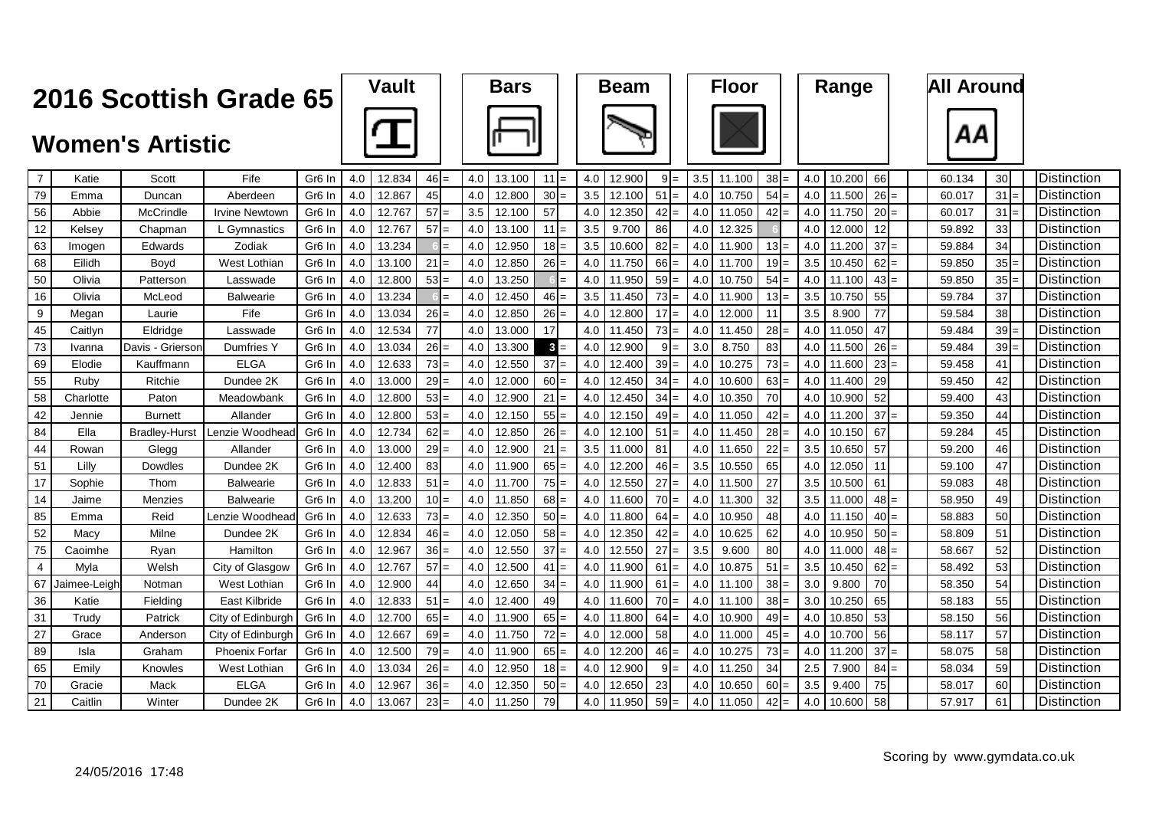| Vault | <b>Bars</b> |
|-------|-------------|
|       |             |







| $\overline{7}$ | Katie        | Scott                | Fife                  | Gr <sub>6</sub> In | 4.0 | 12.834 | $46 =$    | 4.0 | 13.100 | 11     | l=  | 4.0 | 12.900 | $9I=$     | 3.5              | 11.100 | 38                     | 4.0 | 10.200 | 66     | 60.134 | 30 <sup>l</sup> | Distinction          |
|----------------|--------------|----------------------|-----------------------|--------------------|-----|--------|-----------|-----|--------|--------|-----|-----|--------|-----------|------------------|--------|------------------------|-----|--------|--------|--------|-----------------|----------------------|
| 79             | Emma         | Duncan               | Aberdeen              | Gr <sub>6</sub> In | 4.0 | 12.867 | 45        | 4.0 | 12.800 | $30 =$ |     | 3.5 | 12.100 | 51        | 4.0              | 10.750 | $54 =$                 | 4.0 | 11.500 | $26 =$ | 60.017 | 31              | <b>I</b> Distinction |
| 56             | Abbie        | McCrindle            | Irvine Newtown        | Gr <sub>6</sub> In | 4.0 | 12.767 | 57<br>$=$ | 3.5 | 12.100 | 57     |     | 4.0 | 12.350 | 42<br>$=$ | 4.0              | 11.050 | $42 =$                 | 4.0 | 11.750 | $20 =$ | 60.017 | 31              | Distinction          |
| 12             | Kelsev       | Chapman              | L Gymnastics          | Gr <sub>6</sub> In | 4.0 | 12.767 | 57<br>$=$ | 4.0 | 13.100 | $11 =$ |     | 3.5 | 9.700  | 86        | 4.0              | 12.325 |                        | 4.0 | 12.000 | 12     | 59.892 | 33              | Distinction          |
| 63             | Imogen       | Edwards              | Zodiak                | Gr <sub>6</sub> In | 4.0 | 13.234 | $=$       | 4.0 | 12.950 | $18 =$ |     | 3.5 | 10.600 | 82        | 4.0 <sub>1</sub> | 11.900 | $13 =$                 | 4.0 | 11.200 | $37 =$ | 59.884 | 34              | Distinction          |
| 68             | Eilidh       | Boyd                 | West Lothian          | Gr <sub>6</sub> In | 4.0 | 13.100 | 21<br>$=$ | 4.0 | 12.850 | $26 =$ |     | 4.0 | 11.750 | $66 =$    | 4.0              | 11.700 | 19 <sub>l</sub><br>$=$ | 3.5 | 10.450 | $62 =$ | 59.850 | 35 <sub>1</sub> | Distinction          |
| 50             | Olivia       | Patterson            | Lasswade              | Gr <sub>6</sub> In | 4.0 | 12.800 | $53 =$    | 4.0 | 13.250 |        | $=$ | 4.0 | 11.950 | 59:       | 4.0              | 10.750 | 54                     | 4.0 | 11.100 | $43 =$ | 59.850 | $35 =$          | Distinction          |
| 16             | Olivia       | McLeod               | <b>Balwearie</b>      | Gr <sub>6</sub> In | 4.0 | 13.234 | $=$       | 4.0 | 12.450 | $46 =$ |     | 3.5 | 11.450 | $73 =$    | 4.0              | 11.900 | $13 =$                 | 3.5 | 10.750 | 55     | 59.784 | 37              | Distinction          |
| 9              | Megan        | Laurie               | Fife                  | Gr <sub>6</sub> In | 4.0 | 13.034 | $26 =$    | 4.0 | 12.850 | $26 =$ |     | 4.0 | 12.800 | 17<br>$=$ | 4.0              | 12.000 | 11                     | 3.5 | 8.900  | 77     | 59.584 | 38              | Distinction          |
| 45             | Caitlyn      | Eldridge             | Lasswade              | Gr <sub>6</sub> In | 4.0 | 12.534 | 77        | 4.0 | 13.000 | 17     |     | 4.0 | 11.450 | $73 =$    | 4.0              | 11.450 | 28                     | 4.0 | 11.050 | 47     | 59.484 | $39 =$          | Distinction          |
| 73             | Ivanna       | Davis - Grierson     | Dumfries Y            | Gr <sub>6</sub> In | 4.0 | 13.034 | $26 =$    | 4.0 | 13.300 | $3 =$  |     | 4.0 | 12.900 | $9 =$     | 3.0              | 8.750  | 83                     | 4.0 | 11.500 | $26 =$ | 59.484 | $39 =$          | Distinction          |
| 69             | Elodie       | Kauffmann            | <b>ELGA</b>           | Gr <sub>6</sub> In | 4.0 | 12.633 | $73 =$    | 4.0 | 12.550 | 37     | l=  | 4.0 | 12.400 | 39        | 4.0              | 10.275 | 73                     | 4.0 | 11.600 | 23     | 59.458 | 41              | Distinction          |
| 55             | Rubv         | Ritchie              | Dundee 2K             | Gr <sub>6</sub> In | 4.0 | 13.000 | $29 =$    | 4.0 | 12.000 | $60 =$ |     | 4.0 | 12.450 | $34 =$    | 4.0              | 10.600 | $63 =$                 | 4.0 | 11.400 | 29     | 59.450 | 42              | Distinction          |
| 58             | Charlotte    | Paton                | Meadowbank            | Gr <sub>6</sub> In | 4.0 | 12.800 | $53 =$    | 4.0 | 12.900 | 21     | l=  | 4.0 | 12.450 | $34 =$    | 4.0              | 10.350 | 70                     | 4.0 | 10.900 | 52     | 59.400 | 43              | Distinction          |
| 42             | Jennie       | <b>Burnett</b>       | Allander              | Gr <sub>6</sub> In | 4.0 | 12.800 | 53<br>$=$ | 4.0 | 12.150 | $55 =$ |     | 4.0 | 12.150 | 49        | 4.0              | 11.050 | 42<br>=                | 4.0 | 11.200 | 37     | 59.350 | 44              | Distinction          |
| 84             | Ella         | <b>Bradley-Hurst</b> | Lenzie Woodhead       | Gr <sub>6</sub> In | 4.0 | 12.734 | $62 =$    | 4.0 | 12.850 | $26 =$ |     | 4.0 | 12.100 | 51        | 4.0              | 11.450 | 28                     | 4.0 | 10.150 | 67     | 59.284 | 45              | Distinction          |
| 44             | Rowan        | Glegg                | Allander              | Gr <sub>6</sub> In | 4.0 | 13.000 | $29 =$    | 4.0 | 12.900 | 21     | l=  | 3.5 | 11.000 | 81        | 4.0              | 11.650 | 22                     | 3.5 | 10.650 | 57     | 59.200 | 46              | Distinction          |
| 51             | Lilly        | Dowdles              | Dundee 2K             | Gr <sub>6</sub> In | 4.0 | 12.400 | 83        | 4.0 | 11.900 | $65 =$ |     | 4.0 | 12.200 | 46I       | 3.5              | 10.550 | 65                     | 4.0 | 12.050 | 11     | 59.100 | 47              | Distinction          |
| 17             | Sophie       | Thom                 | Balwearie             | Gr6 In             | 4.0 | 12.833 | 51<br>$=$ | 4.0 | 11.700 | $75 =$ |     | 4.0 | 12.550 | 27        | 4.0 <sub>1</sub> | 11.500 | 27                     | 3.5 | 10.500 | 61     | 59.083 | 48              | Distinction          |
| 14             | Jaime        | Menzies              | <b>Balwearie</b>      | Gr <sub>6</sub> In | 4.0 | 13.200 | $10 =$    | 4.0 | 11.850 | $68 =$ |     | 4.0 | 11.600 | $70 =$    | 4.0              | 11.300 | 32                     | 3.5 | 11.000 | $48 =$ | 58.950 | 49              | <b>Distinction</b>   |
| 85             | Emma         | Reid                 | Lenzie Woodhead       | Gr <sub>6</sub> In | 4.0 | 12.633 | $73 =$    | 4.0 | 12.350 | $50 =$ |     | 4.0 | 11.800 | 64        | 4.0              | 10.950 | 48                     | 4.0 | 11.150 | $40 =$ | 58.883 | 50              | Distinction          |
| 52             | Масу         | Milne                | Dundee 2K             | Gr <sub>6</sub> In | 4.0 | 12.834 | $46 =$    | 4.0 | 12.050 | $58 =$ |     | 4.0 | 12.350 | 42<br>$=$ | 4.0              | 10.625 | 62                     | 4.0 | 10.950 | $50 =$ | 58.809 | 51              | Distinction          |
| 75             | Caoimhe      | Ryan                 | Hamilton              | Gr <sub>6</sub> In | 4.0 | 12.967 | $36 =$    | 4.0 | 12.550 | 37     | $=$ | 4.0 | 12.550 | 27        | 3.5              | 9.600  | 80                     | 4.0 | 11.000 | 48     | 58.667 | 52              | Distinction          |
| 4              | Myla         | Welsh                | City of Glasgow       | Gr <sub>6</sub> In | 4.0 | 12.767 | 57<br>$=$ | 4.0 | 12.500 | 41     | $=$ | 4.0 | 11.900 | 61<br>$=$ | 4.0              | 10.875 | $51 =$                 | 3.5 | 10.450 | $62 =$ | 58.492 | 53              | Distinction          |
| 67             | Jaimee-Leigh | Notman               | West Lothian          | Gr <sub>6</sub> In | 4.0 | 12.900 | 44        | 4.0 | 12.650 | $34 =$ |     | 4.0 | 11.900 | 61        | 4.0              | 11.100 | 38                     | 3.0 | 9.800  | 70     | 58.350 | 54              | Distinction          |
| 36             | Katie        | Fielding             | East Kilbride         | Gr <sub>6</sub> In | 4.0 | 12.833 | 51<br>$=$ | 4.0 | 12.400 | 49     |     | 4.0 | 11.600 | $70 =$    | 4.0              | 11.100 | 38 <sup>l</sup>        | 3.0 | 10.250 | 65     | 58.183 | 55              | <b>Distinction</b>   |
| 31             | Trudv        | Patrick              | City of Edinburgh     | Gr <sub>6</sub> In | 4.0 | 12.700 | $65 =$    | 4.0 | 11.900 | $65 =$ |     | 4.0 | 11.800 | 64        | 4.0              | 10.900 | 49                     | 4.0 | 10.850 | 53     | 58.150 | 56              | Distinction          |
| 27             | Grace        | Andersor             | City of Edinburgh     | Gr <sub>6</sub> In | 4.0 | 12.667 | 69<br>$=$ | 4.0 | 11.750 | 72     | $=$ | 4.0 | 12.000 | 58        | 4.0              | 11.000 | 45                     | 4.0 | 10.700 | 56     | 58.117 | 57              | Distinction          |
| 89             | Isla         | Graham               | <b>Phoenix Forfar</b> | Gr <sub>6</sub> In | 4.0 | 12.500 | $79 =$    | 4.0 | 11.900 | $65 =$ |     | 4.0 | 12,200 | $46 =$    | 4.0              | 10.275 | 73                     | 4.0 | 11.200 | $37 =$ | 58.075 | 58              | Distinction          |
| 65             | Emily        | Knowles              | West Lothian          | Gr <sub>6</sub> In | 4.0 | 13.034 | $26 =$    | 4.0 | 12.950 | $18 =$ |     | 4.0 | 12.900 | $9 =$     | 4.0              | 11.250 | 34                     | 2.5 | 7.900  | $84 =$ | 58.034 | 59              | Distinction          |
| 70             | Gracie       | Mack                 | <b>ELGA</b>           | Gr <sub>6</sub> In | 4.0 | 12.967 | 36<br>$=$ | 4.0 | 12.350 | $50 =$ |     | 4.0 | 12.650 | 23        | 4.0              | 10.650 | 60                     | 3.5 | 9.400  | 75     | 58.017 | 60              | Distinction          |
| 21             | Caitlin      | Winter               | Dundee 2K             | Gr <sub>6</sub> In | 4.0 | 13.067 | $23 =$    | 4.0 | 11.250 | 79     |     | 4.0 | 11.950 | $59 =$    | 4.0              | 11.050 | 42 <sub>1</sub><br>$=$ | 4.0 | 10.600 | 58     | 57.917 | 61              | <b>I</b> Distinction |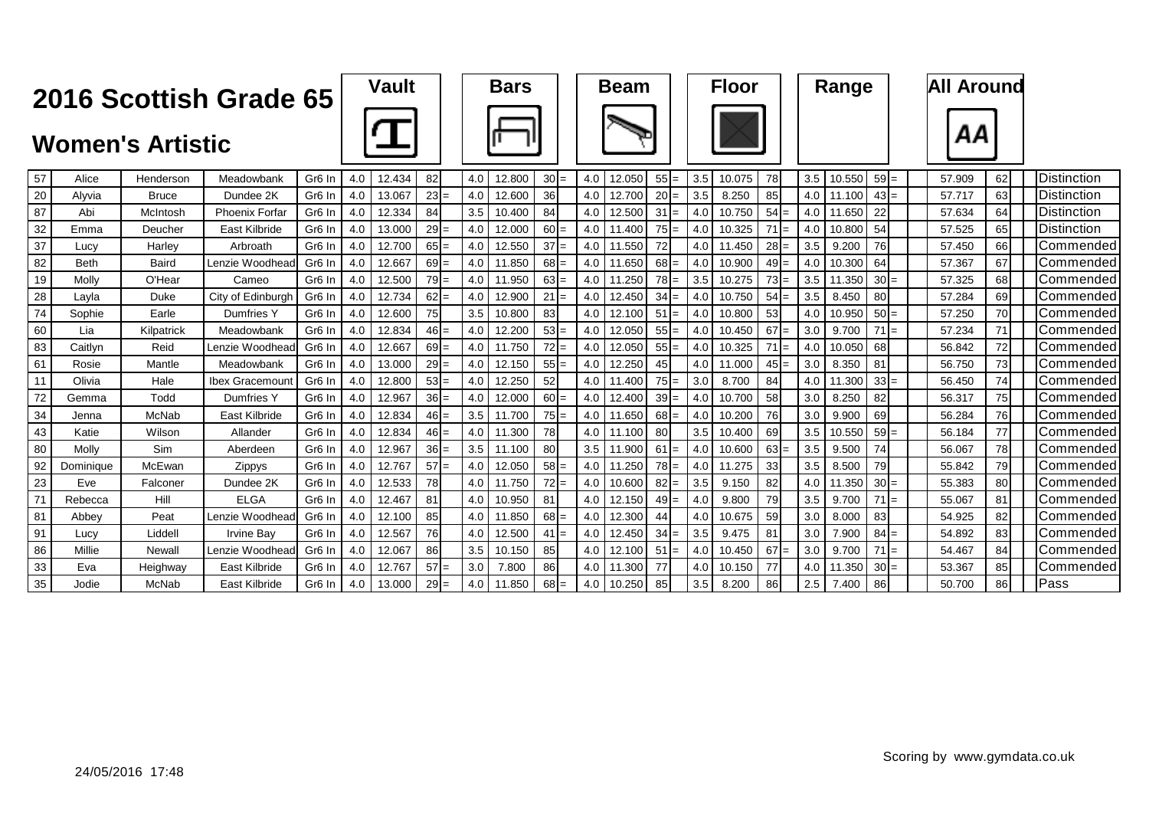| Vault | <b>Bars</b> |
|-------|-------------|
|       |             |







| 57 | Alice       | Henderson    | Meadowbank        | Gr <sub>6</sub> In | 4.0 | 12.434 | 82     | 4.0 | 12.800 | $30 =$          | 4.0 | 12.050 | $55 =$     | 3.5              | 10.075 | 78              | 3.5 | 10.550    | $59 =$    | 57.909 | 62 | Distinction          |
|----|-------------|--------------|-------------------|--------------------|-----|--------|--------|-----|--------|-----------------|-----|--------|------------|------------------|--------|-----------------|-----|-----------|-----------|--------|----|----------------------|
| 20 | Alvvia      | <b>Bruce</b> | Dundee 2K         | Gr <sub>6</sub> In | 4.0 | 13.067 | $23 =$ | 4.0 | 12.600 | 36 <sup>l</sup> | 4.0 | 12.700 | $20 =$     | 3.5              | 8.250  | 85              | 4.0 | .100      | $43 =$    | 57.717 | 63 | <b>I</b> Distinction |
| 87 | Abi         | McIntosh     | Phoenix Forfar    | Gr <sub>6</sub> In | 4.0 | 12.334 | 84     | 3.5 | 10.400 | 84              | 4.0 | 12.500 | $31 =$     | 4.0              | 10.750 | $54 =$          | 4.0 | 11.650    | 22        | 57.634 | 64 | Distinction          |
| 32 | Emma        | Deucher      | East Kilbride     | Gr <sub>6</sub> In | 4.0 | 13.000 | $29 =$ | 4.0 | 12.000 | $60 =$          | 4.0 | .400   | $75 =$     | $4.0\vert$       | 10.325 | $71 =$          | 4.0 | 10.800    | 54        | 57.525 | 65 | <b>IDistinction</b>  |
| 37 | Lucv        | Harley       | Arbroath          | Gr <sub>6</sub> In | 4.0 | 12.700 | $65 =$ | 4.0 | 12.550 | 37<br>$=$       | 4.0 | 11.550 | 72         | 4.0 <sub>1</sub> | 11.450 | $28 =$          | 3.5 | 9.200     | 76        | 57.450 | 66 | Commended            |
| 82 | <b>Beth</b> | <b>Baird</b> | Lenzie Woodhead   | Gr <sub>6</sub> In | 4.0 | 12.667 | $69 =$ | 4.0 | 11.850 | $68 =$          | 4.0 | 11.650 | $68 =$     | $4.0\text{ }$    | 10.900 | 49<br>$=$       | 4.0 | 10.300    | 64        | 57.367 | 67 | <b>Commended</b>     |
| 19 | Molly       | O'Hear       | Cameo             | Gr <sub>6</sub> In | 4.0 | 12.500 | $79 =$ | 4.0 | 11.950 | $63 =$          | 4.0 | 11.250 | $78 =$     | 3.5              | 10.275 | $73 =$          | 3.5 | .350      | $30 =$    | 57.325 | 68 | <b>Commended</b>     |
| 28 | Layla       | Duke         | City of Edinburgh | Gr <sub>6</sub> In | 4.0 | 12.734 | $62 =$ | 4.0 | 12.900 | 21<br>$l =$     | 4.0 | 12.450 | $34 =$     | 4.0 <sub>1</sub> | 10.750 | $54 =$          | 3.5 | 8.450     | 80        | 57.284 | 69 | Commended            |
| 74 | Sophie      | Earle        | <b>Dumfries Y</b> | Gr <sub>6</sub> In | 4.0 | 12.600 | 75     | 3.5 | 10.800 | 83              | 4.0 | 12.100 | .51<br>$=$ | 4.0 <sub>1</sub> | 10.800 | 53              | 4.0 | 10.950    | $50 =$    | 57.250 | 70 | Commended            |
| 60 | Lia         | Kilpatrick   | Meadowbank        | Gr <sub>6</sub> In | 4.0 | 12.834 | $46 =$ | 4.0 | 12.200 | $53 =$          | 4.0 | 12.050 | $55 =$     | 4.0 <sub>1</sub> | 10.450 | $67 =$          | 3.0 | 9.700     | $=$       | 57.234 | 71 | Commended            |
| 83 | Caitlyn     | Reid         | Lenzie Woodhead   | Gr <sub>6</sub> In | 4.0 | 12.667 | $69 =$ | 4.0 | 11.750 | $72 =$          | 4.0 | 12.050 | $55 =$     | 4.0              | 10.325 | $=$             | 4.0 | 10.050    | 68        | 56.842 | 72 | Commended            |
| 61 | Rosie       | Mantle       | Meadowbank        | Gr <sub>6</sub> In | 4.0 | 13.000 | $29 =$ | 4.0 | 12.150 | $55 =$          | 4.0 | 12.250 | 45         | 4.0 I            | 11.000 | 45<br>=         | 3.0 | 8.350     | 81        | 56.750 | 73 | Commended            |
| 11 | Olivia      | Hale         | Ibex Gracemount   | Gr <sub>6</sub> In | 4.0 | 12.800 | $53 =$ | 4.0 | 12.250 | 52              | 4.0 | .400   | $75 =$     | 3.0              | 8.700  | 84              | 4.0 | .30C      | $33 =$    | 56.450 | 74 | Commended            |
| 72 | Gemma       | Todd         | Dumfries Y        | Gr <sub>6</sub> In | 4.0 | 12.967 | $36 =$ | 4.0 | 12.000 | $60 =$          | 4.0 | 12.400 | $39 =$     | 4.0              | 10.700 | 58              | 3.0 | .250<br>8 | 82        | 56.317 | 75 | Commended            |
| 34 | Jenna       | McNab        | East Kilbride     | Gr <sub>6</sub> In | 4.0 | 12.834 | $46 =$ | 3.5 | 11.700 | $75 =$          | 4.0 | 11.650 | $68 =$     | 4.0              | 10.200 | 76              | 3.0 | 9.900     | 69        | 56.284 | 76 | Commended            |
| 43 | Katie       | Wilson       | Allander          | Gr <sub>6</sub> In | 4.0 | 12.834 | $46 =$ | 4.0 | 11.300 | 78I             | 4.0 | .100   | 80         | 3.5              | 10.400 | 69              | 3.5 | 10.550    | $59 =$    | 56.184 | 77 | Commended            |
| 80 | Molly       | <b>Sim</b>   | Aberdeen          | Gr <sub>6</sub> In | 4.0 | 12.967 | $36 =$ | 3.5 | 11.100 | 80              | 3.5 | 11.900 | $61 =$     | 4.0 <sub>1</sub> | 10.600 | $63 =$          | 3.5 | 9.500     | 74        | 56.067 | 78 | Commended            |
| 92 | Dominique   | McEwan       | Zippys            | Gr <sub>6</sub> In | 4.0 | 12.767 | $57 =$ | 4.0 | 12.050 | $58 =$          | 4.0 | 11.250 | $78 =$     | 4.0 <sub>1</sub> | 11.275 | 33 <sup>1</sup> | 3.5 | 8.500     | 79        | 55.842 | 79 | Commended            |
| 23 | Eve         | Falconer     | Dundee 2K         | Gr <sub>6</sub> In | 4.0 | 12.533 | 78     | 4.0 | 11.750 | $72 =$          | 4.0 | 10.600 | $82 =$     | 3.5              | 9.150  | 82              | 4.0 | 11.350    | $30 =$    | 55.383 | 80 | Commended            |
| 71 | Rebecca     | Hill         | <b>ELGA</b>       | Gr <sub>6</sub> In | 4.0 | 12.467 | 81     | 4.0 | 10.950 | 81              | 4.0 | 12.150 | $49 =$     | 4.0              | 9.800  | 79              | 3.5 | 9.700     | 71<br>$=$ | 55.067 | 81 | Commended            |
| 81 | Abbey       | Peat         | Lenzie Woodhead   | Gr <sub>6</sub> In | 4.0 | 12.100 | 85     | 4.0 | 11.850 | $68 =$          | 4.0 | 12.300 | 44         | 4.0              | 10.675 | 59              | 3.0 | 8.000     | 83        | 54.925 | 82 | Commended            |
| 91 | Lucy        | Liddell      | <b>Irvine Bay</b> | Gr <sub>6</sub> In | 4.0 | 12.567 | 76     | 4.0 | 12.500 | 41<br>$=$       | 4.0 | 12.450 | 34<br>$=$  | $3.5^{\circ}$    | 9.475  | 81              | 3.0 | .900      | $84 =$    | 54.892 | 83 | Commended            |
| 86 | Millie      | Newall       | Lenzie Woodhead   | Gr <sub>6</sub> In | 4.0 | 12.067 | 86     | 3.5 | 10.150 | 85              | 4.0 | 12.100 | $51 =$     | 4.0              | 10.450 | 67              | 3.0 | 9.700     | $=$       | 54.467 | 84 | Commended            |
| 33 | Eva         | Heighway     | East Kilbride     | Gr <sub>6</sub> In | 4.0 | 12.767 | $57 =$ | 3.0 | 7.800  | 86              | 4.0 | .300   | 77         | 4.0              | 10.150 | 77              | 4.0 | .35C      | $30 =$    | 53.367 | 85 | Commended            |
| 35 | Jodie       | McNab        | East Kilbride     | Gr <sub>6</sub> In | 4.0 | 13.000 | $29 =$ | 4.0 | 11.850 | $68 =$          | 4.0 | 10.250 | 85         | 3.5              | 8.200  | 86              | 2.5 | .400      | 86        | 50.700 | 86 | Pass                 |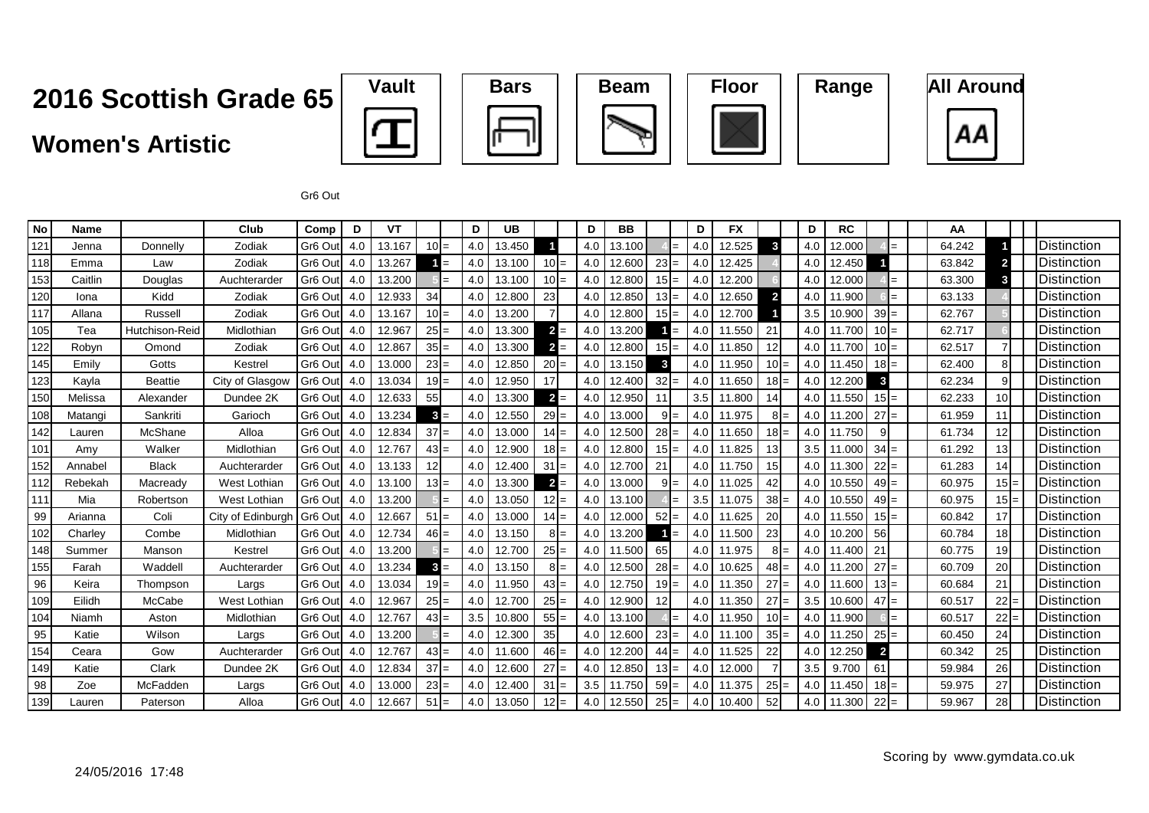#### **Women's Artistic**









Gr6 Out

| <b>No</b> | <b>Name</b> |                | Club                | Comp                | D   | <b>VT</b> |           | D   | <b>UB</b> |         |       | D   | <b>BB</b> |    |                | D   | <b>FX</b> |                | D   | <b>RC</b> |                         | AA     |                 |                      |
|-----------|-------------|----------------|---------------------|---------------------|-----|-----------|-----------|-----|-----------|---------|-------|-----|-----------|----|----------------|-----|-----------|----------------|-----|-----------|-------------------------|--------|-----------------|----------------------|
| 121       | Jenna       | Donnelly       | Zodiak              | Gr6 Out             | 4.0 | 13.167    | $10 =$    | 4.0 | 13.450    |         |       | 4.0 | 13.100    |    | $=$            | 4.0 | 12.525    | $\mathbf{3}$   | 4.0 | 12.000    |                         | 64.242 |                 | Distinction          |
| 118       | Emma        | Law            | Zodiak              | Gr6 Out             | 4.0 | 13.267    | $=$       | 4.0 | 13.100    | $10 =$  |       | 4.0 | 12.600    | 23 | $=$            | 4.0 | 12.425    |                | 4.0 | 12.450    |                         | 63.842 | $\mathbf{2}$    | <b>Distinction</b>   |
| 153       | Caitlin     | Douglas        | Auchterarder        | Gr <sub>6</sub> Out | 4.0 | 13.200    |           | 4.0 | 13.100    | $10 =$  |       | 4.0 | 12.800    | 15 | $=$            | 4.0 | 12.200    |                | 4.0 | 12.000    | $=$                     | 63.300 | 3               | Distinction          |
| 120       | Iona        | Kidd           | Zodiak              | Gr <sub>6</sub> Out | 4.0 | 12.933    | 34        | 4.0 | 12.800    | 23      |       | 4.0 | 12.850    | 13 | $=$            | 4.0 | 12.650    | $\overline{2}$ | 4.0 | 11.900    | $=$                     | 63.133 |                 | <b>IDistinction</b>  |
| 117       | Allana      | Russell        | Zodiak              | Gr <sub>6</sub> Out | 4.0 | 13.167    | $10 =$    | 4.0 | 13.200    |         |       | 4.0 | 12.800    | 15 | $=$            | 4.0 | 12.700    |                | 3.5 | 10.900    | $39 =$                  | 62.767 |                 | Distinction          |
| 105       | Tea         | Hutchison-Reid | Midlothian          | Gr6 Out             | 4.0 | 12.967    | $25 =$    | 4.0 | 13.300    | $2 =$   |       | 4.0 | 13.200    |    | $=$            | 4.0 | 11.550    | 21             | 4.0 | 11.700    | $10 =$                  | 62.717 |                 | <b>I</b> Distinction |
| 122       | Robyn       | Omond          | Zodiak              | Gr <sub>6</sub> Out | 4.0 | 12.867    | $35 =$    | 4.0 | 13.300    | $2 =$   |       | 4.0 | 12.800    | 15 | $=$            | 4.0 | 11.850    | 12             | 4.0 | 11.700    | $10 =$                  | 62.517 |                 | Distinction          |
| 145       | Emily       | Gotts          | Kestrel             | Gr <sub>6</sub> Out | 4.0 | 13.000    | $23 =$    | 4.0 | 12.850    | $20 =$  |       | 4.0 | 13.150    | 3  |                | 4.0 | 11.950    | $10 =$         | 4.0 | 11.450    | $18 =$                  | 62.400 | 81              | Distinction          |
| 123       | Kayla       | <b>Beattie</b> | City of Glasgow     | Gr <sub>6</sub> Out | 4.0 | 13.034    | $19 =$    | 4.0 | 12.950    | 17      |       | 4.0 | 12.400    | 32 | $=$            | 4.0 | 11.650    | $18 =$         | 4.0 | 12.200    | 3                       | 62.234 | 9               | <b>Distinction</b>   |
| 150       | Melissa     | Alexander      | Dundee 2K           | Gr <sub>6</sub> Out | 4.0 | 12.633    | 55        | 4.0 | 13.300    | $2 =$   |       | 4.0 | 12.950    | 11 |                | 3.5 | 11.800    | 14             | 4.0 | 11.550    | $15 =$                  | 62.233 |                 | Distinction          |
| 108       | Matangi     | Sankriti       | Garioch             | Gr <sub>6</sub> Out | 4.0 | 13.234    | $3 =$     | 4.0 | 12.550    | $29 =$  |       | 4.0 | 13.000    | 9  | $=$            | 4.0 | 11.975    | 8              | 4.0 | 1.200     | 27<br>$=$               | 61.959 |                 | <b>Distinction</b>   |
| 142       | Lauren      | McShane        | Alloa               | Gr6 Out             | 4.0 | 12.834    | 37<br>$=$ | 4.0 | 13.000    | $14 =$  |       | 4.0 | 12.500    | 28 | $=$            | 4.0 | 11.650    | 18             | 4.0 | 11.750    |                         | 61.734 | 12 <sup>1</sup> | <b>IDistinction</b>  |
| 101       | Amy         | Walker         | Midlothiar          | Gr6 Out             | 4.0 | 12.767    | $43 =$    | 4.0 | 12.900    | $18 =$  |       | 4.0 | 12.800    | 15 | $=$            | 4.0 | 11.825    | 13             | 3.5 | 11.000    | 34<br>$=$               | 61.292 | 13 <sub>l</sub> | <b>Distinction</b>   |
| 152       | Annabel     | <b>Black</b>   | Auchterarder        | Gr <sub>6</sub> Out | 4.0 | 13.133    |           | 4.0 | 12.400    | 31      | $=$   | 4.0 | 12.700    | 21 |                | 4.0 | 11.750    | 15             | 4.0 | 11.300    | 22<br>$=$               | 61.283 | 14              | <b>Distinction</b>   |
| 112       | Rebekah     | Macready       | <b>West Lothiar</b> | Gr <sub>6</sub> Out | 4.0 | 13.100    | $13 =$    | 4.0 | 13.300    | $2 =$   |       | 4.0 | 13.000    | 9  | $=$            | 4.0 | 11.025    | 42             | 4.0 | 10.550    | 49<br>$=$               | 60.975 | $15 =$          | <b>I</b> Distinction |
| 111       | Mia         | Robertson      | West Lothian        | Gr <sub>6</sub> Out | 4.0 | 13.200    | $=$       | 4.0 | 13.050    | $12 =$  |       | 4.0 | 13.100    |    | $=$            | 3.5 | 11.075    | 38             | 4.0 | 10.550    | $49 =$                  | 60.975 | $15 =$          | Distinction          |
| 99        | Arianna     | Coli           | City of Edinburgh   | Gr <sub>6</sub> Out | 4.0 | 12.667    | $51 =$    | 4.0 | 13.000    | $14 =$  |       | 4.0 | 12.000    | 52 | $=$            | 4.0 | 11.625    | 20             | 4.0 | 11.550    | $15 =$                  | 60.842 | 17 <sup>1</sup> | Distinction          |
| 102       | Charley     | Combe          | Midlothian          | Gr <sub>6</sub> Out | 4.0 | 12.734    | $46 =$    | 4.0 | 13.150    | $8 =$   |       | 4.0 | 13.200    |    | $\mathbf{H} =$ | 4.0 | 11.500    | 23             | 4.0 | 10.200    | 56                      | 60.784 | 18              | Distinction          |
| 148       | Summer      | Manson         | Kestrel             | Gr <sub>6</sub> Out | 4.0 | 13.200    |           | 4.0 | 12.700    | $25 =$  |       | 4.0 | 11.500    | 65 |                | 4.0 | 11.975    |                | 4.0 | 11.400    | 21                      | 60.775 | 19              | <b>IDistinction</b>  |
| 155       | Farah       | Waddell        | Auchterarder        | Gr <sub>6</sub> Out | 4.0 | 13.234    | $3 =$     | 4.0 | 13.150    | $8I=$   |       | 4.0 | 12.500    | 28 | $=$            | 4.0 | 10.625    | $48 =$         | 4.0 | 11.200    | 27<br>$=$               | 60.709 | 20              | <b>Distinction</b>   |
| 96        | Keira       | Thompson       | Largs               | Gr <sub>6</sub> Out | 4.0 | 13.034    | $19 =$    | 4.0 | 11.950    | $43 =$  |       | 4.0 | 12.750    | 19 | $=$            | 4.0 | 11.350    | 27             | 4.0 | 11.600    | 13                      | 60.684 | 21              | Distinction          |
| 109       | Eilidh      | McCabe         | <b>West Lothiar</b> | Gr <sub>6</sub> Out | 4.0 | 12.967    | $25 =$    | 4.0 | 12.700    | $25 =$  |       | 4.0 | 12.900    | 12 |                | 4.0 | 11.350    | 27             | 3.5 | 10.600    | 47<br>$=$               | 60.517 | $22 =$          | Distinction          |
| 104       | Niamh       | Aston          | Midlothian          | Gr <sub>6</sub> Out | 4.0 | 12.767    | $43 =$    | 3.5 | 10.800    | $55 =$  |       | 4.0 | 13.100    |    |                | 4.0 | 11.950    | $10 =$         | 4.0 | 11.900    |                         | 60.517 | 22              | Distinction          |
| 95        | Katie       | Wilson         | Largs               | Gr6 Out             | 4.0 | 13.200    | $=$       | 4.0 | 12.300    | 35      |       | 4.0 | 12.600    | 23 | $=$            | 4.0 | 11.100    | $35 =$         | 4.0 | 11.250    | $25 =$                  | 60.450 | 24              | <b>Distinction</b>   |
| 154       | Ceara       | Gow            | Auchterarder        | Gr <sub>6</sub> Out | 4.0 | 12.767    | $43 =$    | 4.0 | 11.600    | $46 =$  |       | 4.0 | 12.200    | 44 | $=$            | 4.0 | 11.525    | 22             | 4.0 | 12.250    | $\overline{\mathbf{2}}$ | 60.342 | 25              | <b>Distinction</b>   |
| 149       | Katie       | Clark          | Dundee 2K           | Gr <sub>6</sub> Out | 4.0 | 12.834    | $37 =$    | 4.0 | 12.600    | $27 =$  |       | 4.0 | 12.850    | 13 | $=$            | 4.0 | 12.000    |                | 3.5 | 9.700     | 61                      | 59.984 | 26              | Distinction          |
| 98        | Zoe         | McFadden       | Largs               | Gr <sub>6</sub> Out | 4.0 | 13.000    | $23 =$    | 4.0 | 12.400    | 31      | $I =$ | 3.5 | 11.750    | 59 | $=$            | 4.0 | 11.375    | 25             | 4.0 | 11.450    | $18 =$                  | 59.975 | 27              | Distinction          |
| 139       | Lauren      | Paterson       | Alloa               | Gr <sub>6</sub> Out | 4.0 | 12.667    | $51 =$    | 4.0 | 13.050    | $12I =$ |       | 4.0 | 12.550    | 25 |                | 4.0 | 10.400    | 52             | 4.0 | 11.300    | 22<br>$=$               | 59.967 | 28              | <b>IDistinction</b>  |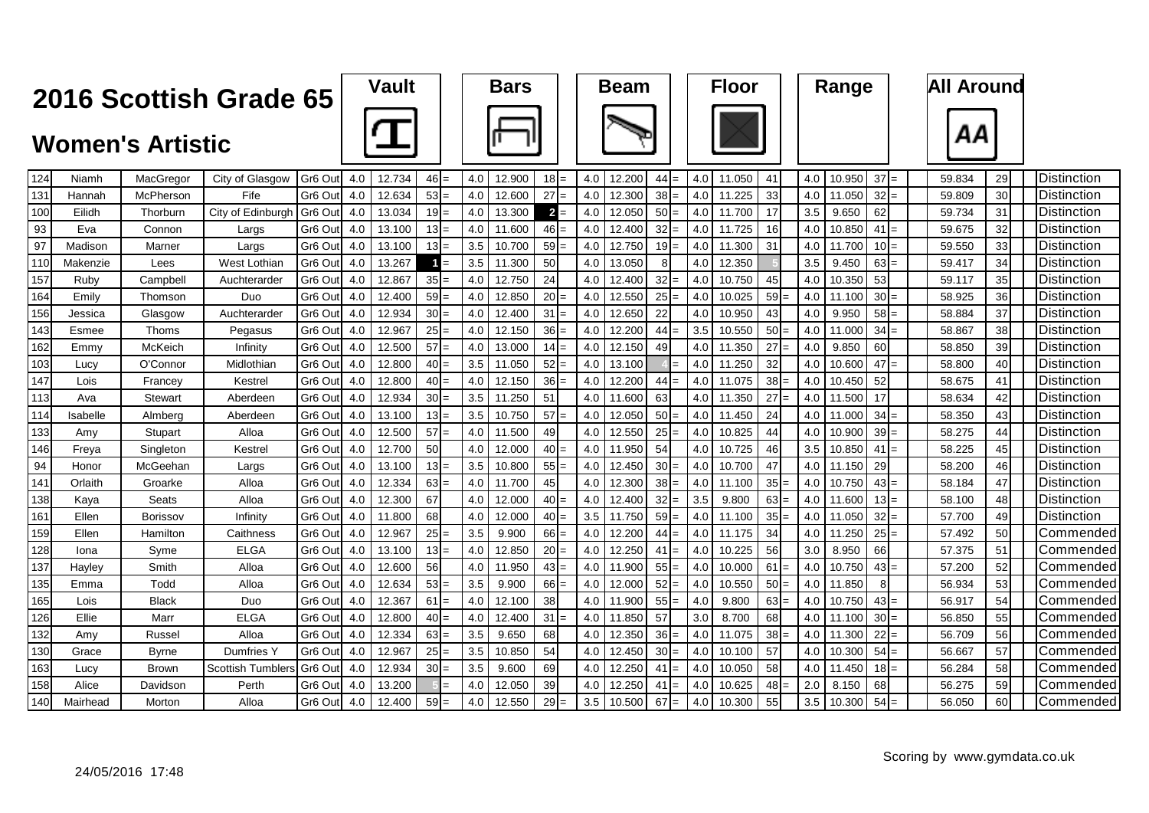| Vault | ва |
|-------|----|
|       |    |







| 124 | Niamh    | MacGregor       | City of Glasgow          | Gr <sub>6</sub> Out | 4.0 | 12.734 | $46 =$   | 4.0 | 12.900 | $18 =$          | 4.0 | 12.200 | 44              | 4.0<br>$=$ | 11.050 | 41 |                 | 4.0 | 10.950 | 37<br>$=$       | 59.834 | 29 | <b>I</b> Distinction |
|-----|----------|-----------------|--------------------------|---------------------|-----|--------|----------|-----|--------|-----------------|-----|--------|-----------------|------------|--------|----|-----------------|-----|--------|-----------------|--------|----|----------------------|
| 131 | Hannah   | McPherson       | Fife                     | Gr6 Out             | 4.0 | 12.634 | $53 =$   | 4.0 | 12.600 | $27 =$          | 4.0 | 12.300 | 38              | 4.0<br>$=$ | 11.225 | 33 |                 | 4.0 | 11.050 | $32 =$          | 59.809 | 30 | <b>IDistinction</b>  |
| 100 | Eilidh   | Thorburn        | City of Edinburgh        | Gr <sub>6</sub> Out | 4.0 | 13.034 | $19 =$   | 4.0 | 13.300 | $2 =$           | 4.0 | 12.050 | 50              | 4.0<br>$=$ | 11.700 | 17 |                 | 3.5 | 9.650  | 62              | 59.734 | 31 | <b>I</b> Distinction |
| 93  | Eva      | Connon          | Largs                    | Gr <sub>6</sub> Out | 4.0 | 13.100 | $13 =$   | 4.0 | 11.600 | $46 =$          | 4.0 | 12.400 | 32 <sup>l</sup> | 4.0<br>$=$ | 11.725 |    | 16              | 4.0 | 10.850 | $41 =$          | 59.675 | 32 | Distinction          |
| 97  | Madison  | Marner          | Largs                    | Gr <sub>6</sub> Out | 4.0 | 13.100 | $13 =$   | 3.5 | 10.700 | $59 =$          | 4.0 | 12.750 | 19              | 4.0<br>$=$ | 11.300 | 31 |                 | 4.0 | 11.700 | $10 =$          | 59.550 | 33 | <b>IDistinction</b>  |
| 110 | Makenzie | Lees            | West Lothian             | Gr <sub>6</sub> Out | 4.0 | 13.267 | $=$      | 3.5 | 11.300 | 50              | 4.0 | 13.050 |                 | 4.0        | 12.350 |    |                 | 3.5 | 9.450  | $63 =$          | 59.417 | 34 | <b>IDistinction</b>  |
| 157 | Ruby     | Campbell        | Auchterarder             | Gr <sub>6</sub> Out | 4.0 | 12.867 | $35 =$   | 4.0 | 12.750 | 24              | 4.0 | 12.400 | 32              | 4.0        | 10.750 | 45 |                 | 4.0 | 10.350 | 53              | 59.117 | 35 | <b>I</b> Distinction |
| 164 | Emilv    | Thomson         | Duo                      | Gr6 Out             | 4.0 | 12,400 | $59 =$   | 4.0 | 12.850 | $20 =$          | 4.0 | 12.550 | 25              | 4.0        | 10.025 |    | 59              | 4.0 | 11.100 | 30 <sub>1</sub> | 58.925 | 36 | <b>I</b> Distinction |
| 156 | Jessica  | Glasgow         | Auchterarder             | Gr <sub>6</sub> Ou  | 4.0 | 12.934 | $30 =$   | 4.0 | 12.400 | $31 =$          | 4.0 | 12.650 | 22              | 4.0        | 10.950 |    | 43              | 4.0 | 9.950  | $58 =$          | 58.884 | 37 | <b>Distinction</b>   |
| 143 | Esmee    | Thoms           | Pegasus                  | Gr <sub>6</sub> Out | 4.0 | 12.967 | $25 =$   | 4.0 | 12.150 | $36 =$          | 4.0 | 12.200 | 44              | 3.5<br>$=$ | 10.550 |    | $50 =$          | 4.0 | 11.000 | $34 =$          | 58.867 | 38 | <b>I</b> Distinction |
| 162 | Emmv     | McKeich         | Infinity                 | Gr <sub>6</sub> Out | 4.0 | 12.500 | $57 =$   | 4.0 | 13.000 | 14I             | 4.0 | 12.150 | 49              | 4.0        | 11.350 |    | $27 =$          | 4.0 | 9.850  | 60              | 58.850 | 39 | Distinction          |
| 103 | Lucy     | O'Connor        | Midlothiar               | Gr <sub>6</sub> Out | 4.0 | 12.800 | $40 =$   | 3.5 | 11.050 | $52 =$          | 4.0 | 13.100 |                 | 4.0        | 11.250 | 32 |                 | 4.0 | 10.600 | 47<br>$=$       | 58.800 | 40 | <b>Distinction</b>   |
| 147 | Lois     | Francey         | Kestrel                  | Gr6 Out             | 4.0 | 12.800 | $40 =$   | 4.0 | 12.150 | $36 =$          | 4.0 | 12.200 | 44              | 4.0<br>$=$ | 11.075 |    | 38              | 4.0 | 10.450 | 52              | 58.675 | 41 | <b>Distinction</b>   |
| 113 | Ava      | Stewart         | Aberdeen                 | Gr6 Out             | 4.0 | 12.934 | $30 =$   | 3.5 | 11.250 | 51              | 4.0 | 11.600 | 63              | 4.0        | 11.350 | 27 |                 | 4.0 | 11.500 | 17              | 58.634 | 42 | Distinction          |
| 114 | Isabelle | Almberg         | Aberdeen                 | Gr6 Out             | 4.0 | 13.100 | $13I=$   | 3.5 | 10.750 | $57 =$          | 4.0 | 12.050 | 50              | 4.0        | 11.450 | 24 |                 | 4.0 | 11.000 | 34              | 58.350 | 43 | Distinction          |
| 133 | Amv      | Stupart         | Alloa                    | Gr <sub>6</sub> Out | 4.0 | 12.500 | $57 =$   | 4.0 | 11.500 | 49              | 4.0 | 12.550 | 25              | 4.0        | 10.825 | 44 |                 | 4.0 | 10.900 | $39 =$          | 58.275 | 44 | <b>Distinction</b>   |
| 146 | Freya    | Singleton       | Kestrel                  | Gr <sub>6</sub> Out | 4.0 | 12.700 | 50       | 4.0 | 12.000 | $40 =$          | 4.0 | 11.950 | 54              | 4.0        | 10.725 | 46 |                 | 3.5 | 10.850 | 41              | 58.225 | 45 | <b>I</b> Distinction |
| 94  | Honor    | McGeehan        | Largs                    | Gr <sub>6</sub> Out | 4.0 | 13.100 | $13 =$   | 3.5 | 10.800 | $55 =$          | 4.0 | 12.450 | 30 <sup>1</sup> | 4.0        | 10.700 | 47 |                 | 4.0 | 11.150 | 29              | 58.200 | 46 | Distinction          |
| 141 | Orlaith  | Groarke         | Alloa                    | Gr <sub>6</sub> Ou  | 4.0 | 12.334 | $63 =$   | 4.0 | 11.700 | 45              | 4.0 | 12.300 | 38              | 4.0        | 11.100 |    | 35              | 4.0 | 10.750 | $43 =$          | 58.184 | 47 | <b>I</b> Distinction |
| 138 | Kava     | Seats           | Alloa                    | Gr <sub>6</sub> Out | 4.0 | 12.300 | 67       | 4.0 | 12.000 | $40 =$          | 4.0 | 12.400 | 32              | 3.5<br>$=$ | 9.800  |    | $63 =$          | 4.0 | 11.600 | $13 =$          | 58.100 | 48 | Distinction          |
| 161 | Ellen    | <b>Borissov</b> | Infinitv                 | Gr6 Out             | 4.0 | 11.800 | 68       | 4.0 | 12.000 | $40 =$          | 3.5 | 11.750 | 59              | 4.0<br>$=$ | 11.100 |    | 35              | 4.0 | 11.050 | $32 =$          | 57.700 | 49 | Distinction          |
| 159 | Ellen    | Hamilton        | Caithness                | Gr <sub>6</sub> Out | 4.0 | 12.967 | $25 =$   | 3.5 | 9.900  | $66 =$          | 4.0 | 12.200 | 44              | 4.0<br>$=$ | 11.175 | 34 |                 | 4.0 | 11.250 | $25 =$          | 57.492 | 50 | Commended            |
| 128 | Iona     | Syme            | <b>ELGA</b>              | Gr <sub>6</sub> Out | 4.0 | 13.100 | $13 =$   | 4.0 | 12.850 | $20 =$          | 4.0 | 12.250 | 41              | 4.0<br>$=$ | 10.225 | 56 |                 | 3.0 | 8.950  | 66              | 57.375 | 51 | ICommended           |
| 137 | Hayley   | Smith           | Alloa                    | Gr6 Out             | 4.0 | 12.600 | 56       | 4.0 | 11.950 | $43 =$          | 4.0 | 11.900 | 55              | 4.0        | 10.000 | 61 |                 | 4.0 | 10.750 | 43              | 57.200 | 52 | Commended            |
| 135 | Emma     | Todd            | Alloa                    | Gr <sub>6</sub> Out | 4.0 | 12.634 | $53 =$   | 3.5 | 9.900  | $66 =$          | 4.0 | 12.000 | 52              | 4.0        | 10.550 |    | 50              | 4.0 | 11.850 | 8               | 56.934 | 53 | <b>Commended</b>     |
| 165 | Lois     | <b>Black</b>    | Duo                      | Gr6 Out             | 4.0 | 12.367 | 61<br>l= | 4.0 | 12.100 | 38 <sup>l</sup> | 4.0 | 11.900 | 55              | 4.0        | 9.800  |    | 63              | 4.0 | 10.750 | 43              | 56.917 | 54 | Commended            |
| 126 | Ellie    | Marr            | <b>ELGA</b>              | Gr6 Out             | 4.0 | 12.800 | $40 =$   | 4.0 | 12.400 | 31<br>l=        | 4.0 | 11.850 | 57              | 3.0        | 8.700  | 68 |                 | 4.0 | 11.100 | $30 =$          | 56.850 | 55 | <b>Commended</b>     |
| 132 | Amv      | Russel          | Alloa                    | Gr6 Out             | 4.0 | 12.334 | $63 =$   | 3.5 | 9.650  | 68              | 4.0 | 12.350 | 36              | 4.0        | 11.075 |    | 38 <sup>l</sup> | 4.0 | 11.300 | 22              | 56.709 | 56 | Commended            |
| 130 | Grace    | Byrne           | Dumfries Y               | Gr <sub>6</sub> Ou  | 4.0 | 12.967 | $25 =$   | 3.5 | 10.850 | 54              | 4.0 | 12.450 | 30              | 4.0        | 10.100 | 57 |                 | 4.0 | 10.300 | $54 =$          | 56.667 | 57 | <b>Commended</b>     |
| 163 | Lucv     | <b>Brown</b>    | <b>Scottish Tumblers</b> | Gr <sub>6</sub> Out | 4.0 | 12.934 | $30 =$   | 3.5 | 9.600  | 69              | 4.0 | 12.250 | 41              | 4.0<br>$=$ | 10.050 | 58 |                 | 4.0 | 11.450 | $18 =$          | 56.284 | 58 | <b>ICommended</b>    |
| 158 | Alice    | Davidson        | Perth                    | Gr6 Out             | 4.0 | 13.200 |          | 4.0 | 12.050 | 39              | 4.0 | 12.250 | 41              | 4.0<br>$=$ | 10.625 |    | 48              | 2.0 | 8.150  | 68              | 56.275 | 59 | Commended            |
| 140 | Mairhead | Morton          | Alloa                    | Gr6 Out             | 4.0 | 12.400 | $59 =$   | 4.0 | 12.550 | $29 =$          | 3.5 | 10.500 | 67              | 4.0<br>$=$ | 10.300 | 55 |                 | 3.5 | 10.300 | $54 =$          | 56.050 | 60 | <b>Commended</b>     |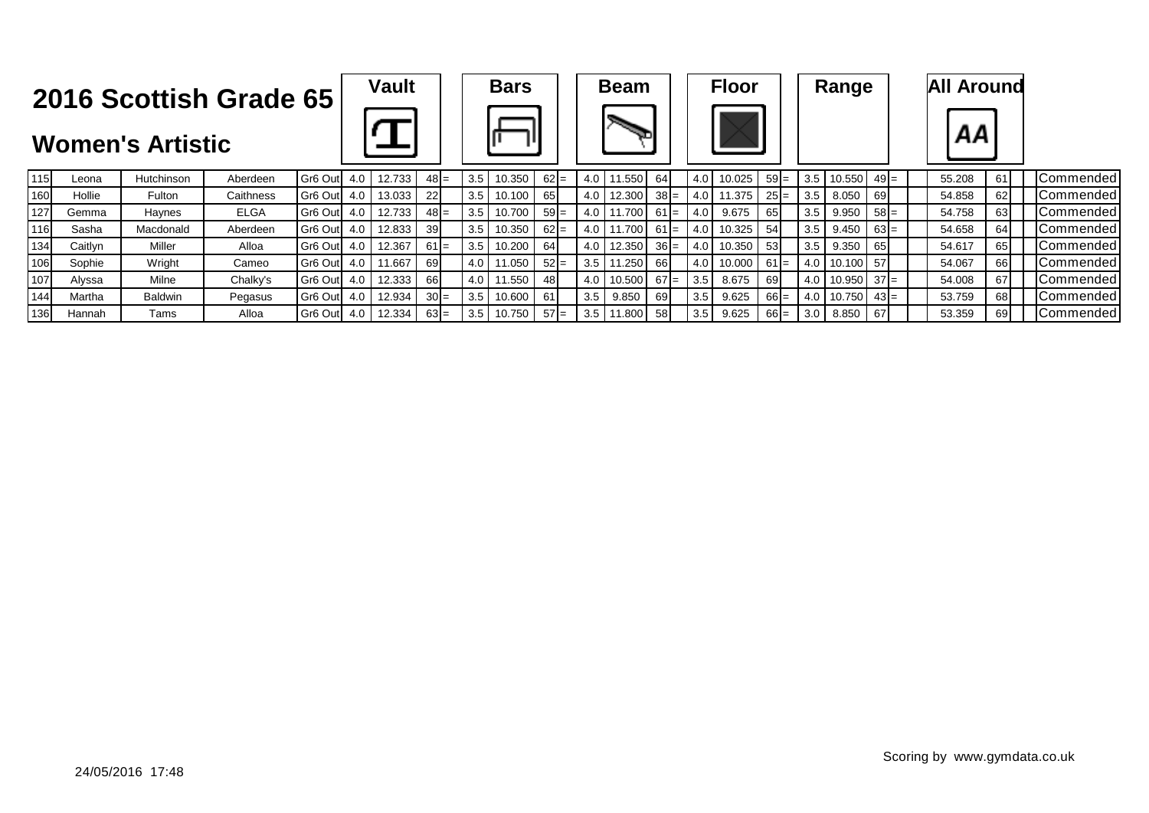







| 115 | Leona   | Hutchinson     | Aberdeen    | Gr <sub>6</sub> Out | 4.0 | 12.733 | $48 =$          | 3.5 | 10.350   | $62 =$ |               | 1.550              | 64     | 4.0        | 10.025 | $59 =$ | 3.5 | $10.550$ 49 =   |        | 55.208 | 61   | <b>ICommended</b> |
|-----|---------|----------------|-------------|---------------------|-----|--------|-----------------|-----|----------|--------|---------------|--------------------|--------|------------|--------|--------|-----|-----------------|--------|--------|------|-------------------|
| 160 | Hollie  | Fulton         | Caithness   | Gr6 Out 4.0         |     | 13.033 | 22 <sup>1</sup> | 3.5 | 10.100   | 65 I   | 4.0           | 12.300             | $38 =$ | $4.0\vert$ | 11.375 | $25 =$ | 3.5 | 8.050           | 69     | 54.858 | 62   | <b>Commended</b>  |
| 127 | Gemma   | Haynes         | <b>ELGA</b> | Gr6 Out             | 4.0 | 12.733 | $48 =$          | 3.5 | 10.700   | $59 =$ | 4.0 $\vert$ 1 | 1.700              | $61 =$ | 4.0        | 9.675  | 65     | 3.5 | 9.950           | $58 =$ | 54.758 | 63 I | <b>ICommended</b> |
| 116 | Sasha   | Macdonald      | Aberdeen    | Gr <sub>6</sub> Out | 4.0 | 12.833 | 39 <sup>°</sup> | 3.5 | 0.350    | $62 =$ |               | ا 700.،            | $61 =$ | 4.0        | 10.325 | 54     | 3.5 | 9.450           | $63 =$ | 54.658 | 64   | <b>ICommended</b> |
| 134 | Caitlyn | Miller         | Alloa       | Gr <sub>6</sub> Out | 4.0 | 12.367 | $61 =$          | 3.5 | 10.200 L | 64     | 4.0           | 12.350             | $36 =$ | 4.0        | 10.350 | 53     | 3.5 | 9.350           | 65     | 54.617 | 65   | <b>ICommended</b> |
| 106 | Sophie  | Wright         | Cameo       | Gr6 Out             | 4.0 | 1.667  | 69 I            | 4.0 | $.050$   | $52 =$ |               | 1.250 <sub>1</sub> | 66I    | 4.0        | 10.000 | $61 =$ | 4.0 | 10.100 57       |        | 54.067 | 661  | <b>ICommended</b> |
| 107 | Alyssa  | Milne          | Chalky's    | Gr <sub>6</sub> Out | 4.0 | 12.333 | 66 I            | 4.0 | 1.550    | 48I    | 4.0           | 10.500             | $67 =$ | 3.5        | 8.675  | 69     | 4.0 | $10.950$ 37 =   |        | 54.008 |      | <b>ICommended</b> |
| 144 | Martha  | <b>Baldwin</b> | Pegasus     | Gr6 Out 4.0         |     | 12.934 | $30 =$          | 3.5 | 10.600 L | 61     | 3.5           | 9.850              | 691    | 3.5        | 9.625  | $66 =$ | 4.0 | $ 10.750 $ 43 = |        | 53.759 | 68 I | <b>ICommended</b> |
| 136 | Hannah  | Tams           | Alloa       | Gr6 Out 4.0         |     | 12.334 | $63 =$          | 3.5 | 10.750 L | $57 =$ | 3.5           | 1.800              | 581    | 3.5        | 9.625  | $66 =$ | 3.0 | 8.850           | 67     | 53.359 | 69   | <b>ICommended</b> |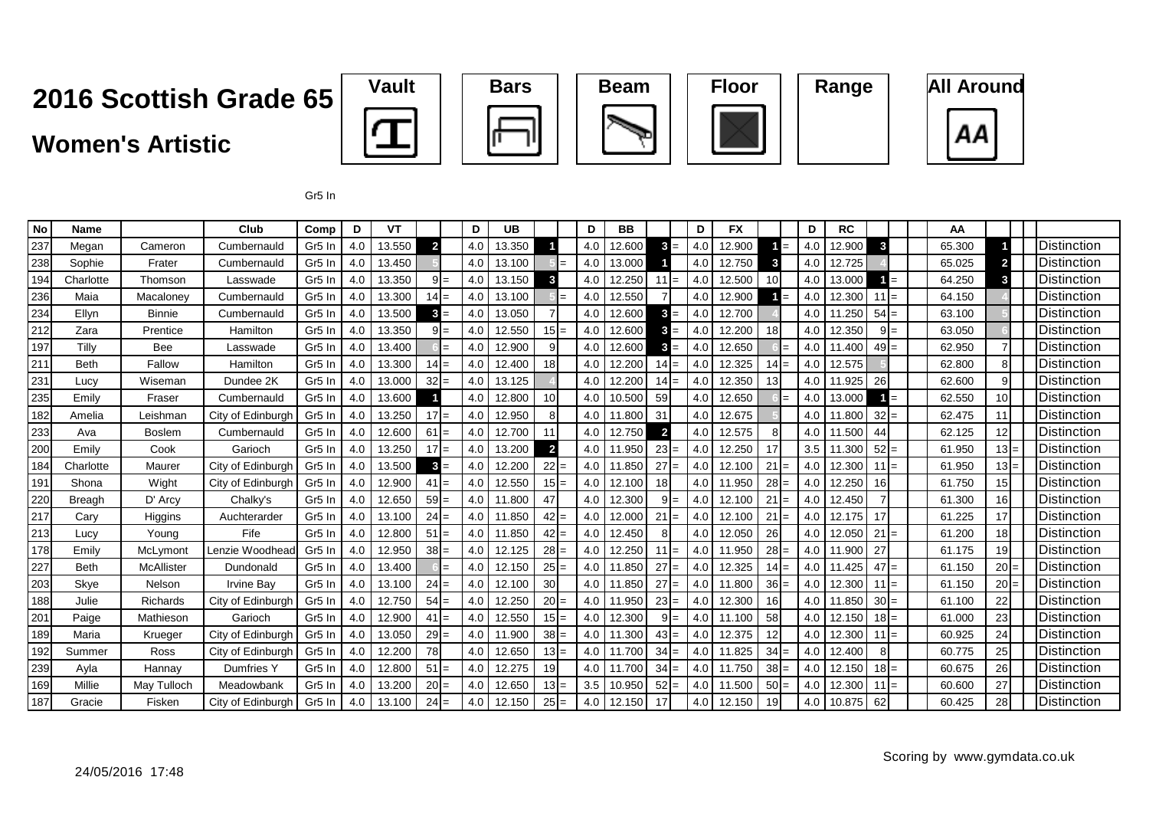#### **Women's Artistic**











Gr5 In

| No  | <b>Name</b>   |               | Club              | Comp               | D   | VT     |                |     | D   | UB     |                 | D   | <b>BB</b>  |                 | D                | <b>FX</b> |                | D   | <b>RC</b> |         | AA     |                 |                      |
|-----|---------------|---------------|-------------------|--------------------|-----|--------|----------------|-----|-----|--------|-----------------|-----|------------|-----------------|------------------|-----------|----------------|-----|-----------|---------|--------|-----------------|----------------------|
| 237 | Megan         | Cameron       | Cumbernauld       | Gr5 In             | 4.0 | 13.550 | $\overline{2}$ |     | 4.0 | 13.350 |                 | 4.0 | 12.600     | $3 =$           | 4.0              | 12.900    | $=$            | 4.0 | 12.900    | 3       | 65.300 |                 | <b>I</b> Distinction |
| 238 | Sophie        | Frater        | Cumbernauld       | Gr <sub>5</sub> In | 4.0 | 13.450 |                |     | 4.0 | 13.100 |                 | 4.0 | 13.000     |                 | 4.0              | 12.750    | 3              | 4.0 | 12.725    |         | 65.025 | 2 <sub>1</sub>  | <b>IDistinction</b>  |
| 194 | Charlotte     | Thomson       | Lasswade          | Gr <sub>5</sub> In | 4.0 | 13.350 | $9I=$          |     | 4.0 | 13.150 | 3               | 4.0 | 12.250     | 11<br>$=$       | 4.0              | 12.500    | 10             | 4.0 | 13.000    | $=$     | 64.250 | 3               | <b>I</b> Distinction |
| 236 | Maia          | Macaloney     | Cumbernauld       | Gr <sub>5</sub> In | 4.0 | 13.300 | $14 =$         |     | 4.0 | 13.100 |                 | 4.0 | 12.550     |                 | 4.0              | 12.900    | $=$            | 4.0 | 12.300    | $11 =$  | 64.150 |                 | <b>I</b> Distinction |
| 234 | Ellyn         | <b>Binnie</b> | Cumbernauld       | Gr <sub>5</sub> In | 4.0 | 13.500 | $3 =$          |     | 4.0 | 13.050 |                 | 4.0 | 12.600     | 3<br>$=$        | 4.0              | 12.700    |                | 4.0 | 11.250    | $54 =$  | 63.100 |                 | IDistinction         |
| 212 | Zara          | Prentice      | Hamilton          | Gr <sub>5</sub> Ir | 4.0 | 13.350 | $9 =$          |     | 4.0 | 12.550 | $15 =$          | 4.0 | 12.600     | 3<br>$=$        | 4.0              | 12.200    | 18             | 4.0 | 12.350    | $9 =$   | 63.050 |                 | <b>IDistinction</b>  |
| 197 | Tilly         | Bee           | Lasswade          | Gr <sub>5</sub> Ir | 4.0 | 13.400 |                |     | 4.0 | 12.900 | 9               | 4.0 | 12.600     | 3<br>$=$        | 4.0              | 12.650    | $\equiv$       | 4.0 | 11.400    | $49 =$  | 62.950 |                 | <b>I</b> Distinction |
| 211 | <b>Beth</b>   | Fallow        | Hamilton          | Gr <sub>5</sub> Ir | 4.0 | 13.300 | $14 =$         |     | 4.0 | 12.400 | 18              | 4.0 | 12.200     | $14 =$          | 4.0              | 12.325    | 14<br>$=$      | 4.0 | 12.575    |         | 62.800 | 8               | <b>I</b> Distinction |
| 231 | Lucy          | Wiseman       | Dundee 2K         | Gr <sub>5</sub> In | 4.0 | 13.000 | $32 =$         |     | 4.0 | 13.125 |                 | 4.0 | 12.200     | $14 =$          | 4.0              | 12.350    | 13             | 4.0 | 11.925    | 26      | 62.600 | 9               | <b>IDistinction</b>  |
| 235 | Emily         | Fraser        | Cumbernauld       | Gr <sub>5</sub> In | 4.0 | 13.600 |                |     | 4.0 | 12.800 | 10 <sup>1</sup> | 4.0 | 10.500     | 59              | 4.0              | 12.650    |                | 4.0 | 13.000    | $=$     | 62.550 | 10 <sup>1</sup> | <b>IDistinction</b>  |
| 182 | Amelia        | Leishman      | City of Edinburgh | Gr <sub>5</sub> Ir | 4.0 | 13.250 | $17 =$         |     | 4.0 | 12.950 |                 | 4.0 | 11.800     | 31              | 4.0              | 12.675    |                | 4.0 | 11.800    | $32 =$  | 62.475 | 11              | Distinction          |
| 233 | Ava           | <b>Boslem</b> | Cumbernauld       | Gr <sub>5</sub> In | 4.0 | 12.600 | 61             | $=$ | 4.0 | 12.700 | 11              | 4.0 | 12.750     | $\overline{2}$  | 4.0 <sub>1</sub> | 12.575    | 8              | 4.0 | 11.500    | 44      | 62.125 | 12              | Distinction          |
| 200 | Emily         | Cook          | Garioch           | Gr <sub>5</sub> In | 4.0 | 13.250 | $17 =$         |     | 4.0 | 13.200 | $\overline{2}$  | 4.0 | 11.950     | 23              | 4.0              | 12.250    | 17             | 3.5 | 11.300    | $52 =$  | 61.950 |                 | Distinction          |
| 184 | Charlotte     | Maurer        | City of Edinburgh | Gr <sub>5</sub> In | 4.0 | 13.500 | $\mathbf{3}$   |     | 4.0 | 12.200 | $22 =$          | 4.0 | 11.850     | 27              | 4.0              | 12.100    | 21<br>$\equiv$ | 4.0 | 12.300    | $11 =$  | 61.950 | $13 =$          | <b>I</b> Distinction |
| 191 | Shona         | Wight         | City of Edinburgh | Gr5 In             | 4.0 | 12.900 | 41             |     | 4.0 | 12.550 | $15 =$          | 4.0 | 12.100     | 18              | 4.0              | 11.950    | 28<br>$=$      | 4.0 | 12.250    | 16      | 61.750 | 15              | <b>Distinction</b>   |
| 220 | <b>Breagh</b> | D' Arcy       | Chalky's          | Gr <sub>5</sub> Ir | 4.0 | 12.650 | $59 =$         |     | 4.0 | 11.800 | 47              | 4.0 | 12.300     | $9 =$           | 4.0              | 12.100    | 21<br>$=$      | 4.0 | 12.450    |         | 61.300 | 16 <sup>l</sup> | Distinction          |
| 217 | Cary          | Higgins       | Auchterarder      | Gr5 In             | 4.0 | 13.100 | $24 =$         |     | 4.0 | 11.850 | $42 =$          | 4.0 | 12.000     | 21<br>$=$       | 4.0              | 12.100    | 21<br>$=$      | 4.0 | 12.175    | 17      | 61.225 | 17              | <b>IDistinction</b>  |
| 213 | Lucy          | Young         | Fife              | Gr <sub>5</sub> Ir | 4.0 | 12.800 | $51 =$         |     | 4.0 | 11.850 | $42 =$          | 4.0 | 12.450     | 8               | 4.0              | 12.050    | 26             | 4.0 | 12.050    | $21 =$  | 61.200 | 18 <sup>1</sup> | Distinction          |
| 178 | Emily         | McLymont      | Lenzie Woodhead   | Gr <sub>5</sub> Ir | 4.0 | 12.950 | $38 =$         |     | 4.0 | 12.125 | $28 =$          | 4.0 | 12.250     | 11<br>$=$       | 4.0              | 11.950    | 28<br>$=$      | 4.0 | 11.900    | 27      | 61.175 | 19              | <b>I</b> Distinction |
| 227 | <b>Beth</b>   | McAllister    | Dundonald         | Gr <sub>5</sub> In | 4.0 | 13.400 |                |     | 4.0 | 12.150 | $25 =$          | 4.0 | 11.850     | 27<br>$=$       | 4.0              | 12.325    | $14 =$         | 4.0 | 11.425    | $47 =$  | 61.150 | $20 =$          | <b>I</b> Distinction |
| 203 | Skye          | Nelson        | <b>Irvine Bav</b> | Gr <sub>5</sub> In | 4.0 | 13.100 | $24 =$         |     | 4.0 | 12.100 | 30 <sup>°</sup> |     | 4.0 11.850 | 27              | 4.0 <sub>1</sub> | 11.800    | 36<br>$=$      | 4.0 | 12.300    | $11 =$  | 61.150 | $20 =$          | <b>I</b> Distinction |
| 188 | Julie         | Richards      | City of Edinburgh | Gr5 In             | 4.0 | 12.750 | $54 =$         |     | 4.0 | 12.250 | $20 =$          | 4.0 | 11.950     | $23 =$          | 4.0              | 12.300    | 16             | 4.0 | 11.850    | $30 =$  | 61.100 | 22              | Distinction          |
| 201 | Paige         | Mathieson     | Garioch           | Gr5 In             | 4.0 | 12.900 | 41             | $=$ | 4.0 | 12.550 | $15 =$          | 4.0 | 12.300     | $9 =$           | 4.0 I            | 11.100    | 58             | 4.0 | 12.150    | $18 =$  | 61.000 | 23              | <b>I</b> Distinction |
| 189 | Maria         | Krueger       | City of Edinburgh | Gr5 In             | 4.0 | 13.050 | $29 =$         |     | 4.0 | 11.900 | $38 =$          | 4.0 | 11.300     | $43 =$          | 4.0              | 12.375    | 12             | 4.0 | 12.300    | $11 =$  | 60.925 | 24              | <b>IDistinction</b>  |
| 192 | Summer        | Ross          | City of Edinburgh | Gr5 Ir             | 4.0 | 12.200 | 78             |     | 4.0 | 12.650 | $13 =$          | 4.0 | 11.700     | 34 <sup>1</sup> | 4.0              | 11.825    | 34<br>$=$      | 4.0 | 12.400    | 8       | 60.775 | 25              | Distinction          |
| 239 | Ayla          | Hannay        | Dumfries Y        | Gr <sub>5</sub> Ir | 4.0 | 12.800 | $51 =$         |     | 4.0 | 12.275 | 19              | 4.0 | 11.700     | 34<br>$=$       | 4.0              | 11.750    | $38 =$         | 4.0 | 12.150    | $18 =$  | 60.675 | <b>26</b>       | <b>IDistinction</b>  |
| 169 | Millie        | May Tulloch   | Meadowbank        | Gr <sub>5</sub> In | 4.0 | 13.200 | $20 =$         |     | 4.0 | 12.650 | $13 =$          | 3.5 | 10.950     | $52 =$          | 4.0 l            | 11.500    | $50 =$         | 4.0 | 12.300    | $111 =$ | 60.600 | 27              | <b>IDistinction</b>  |
| 187 | Gracie        | Fisken        | City of Edinburgh | Gr <sub>5</sub> In | 4.0 | 13.100 | $24 =$         |     | 4.0 | 12.150 | $25 =$          | 4.0 | 12.150     | 17              | 4.0 <sub>1</sub> | 12.150    | 19             | 4.0 | 10.875    | 62      | 60.425 | 28              | <b>IDistinction</b>  |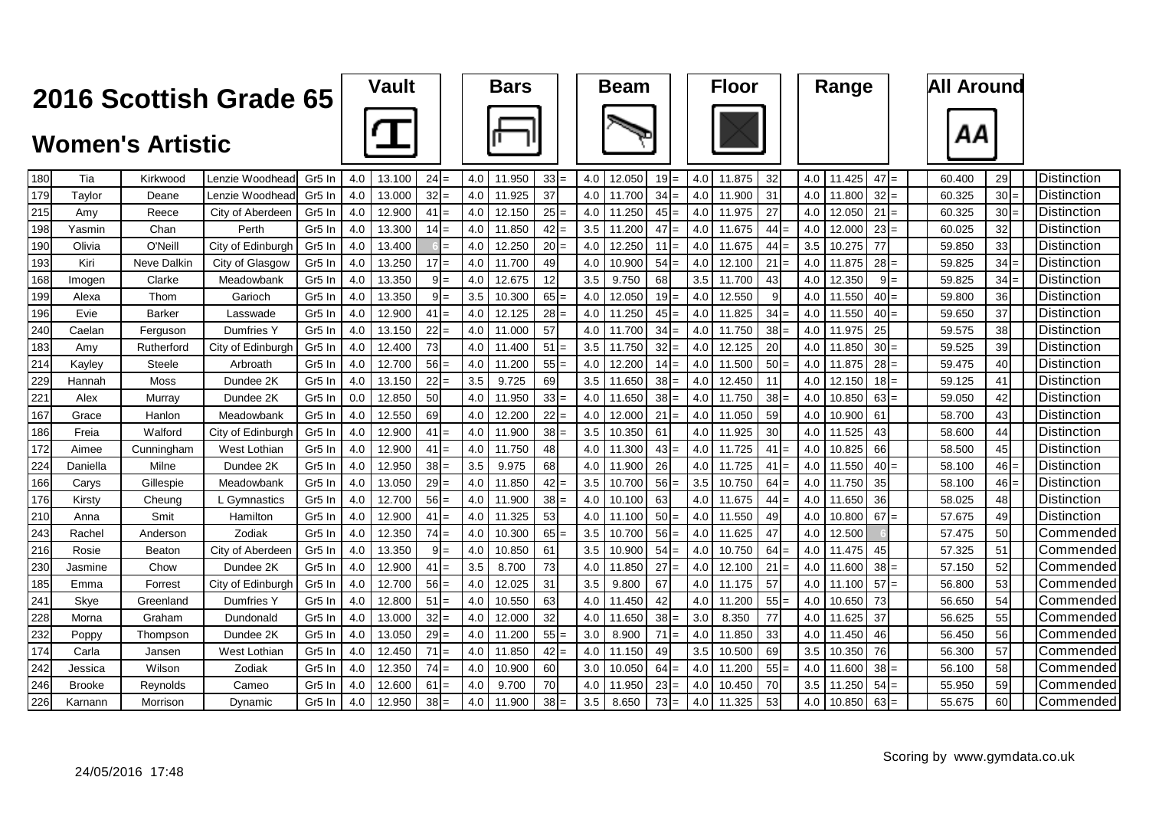| Vault | <b>Bars</b> |
|-------|-------------|
|       |             |







| 180 | Tia           | Kirkwood           | Lenzie Woodhead   | Gr <sub>5</sub> In | 4.0 | 13.100 | $24 =$ | 4.0 | 11.950 | $33 =$          | 4.0 | 12.050 | $19 =$     | 4.0 | 11.875 | 32                   | 4.0 | 11.425 | $47 =$    | 60.400 | 29     | <b>Distinction</b>   |  |
|-----|---------------|--------------------|-------------------|--------------------|-----|--------|--------|-----|--------|-----------------|-----|--------|------------|-----|--------|----------------------|-----|--------|-----------|--------|--------|----------------------|--|
| 179 | Taylor        | Deane              | Lenzie Woodhead   | Gr <sub>5</sub> In | 4.0 | 13.000 | $32 =$ | 4.0 | 11.925 | 37              | 4.0 | 11.700 | 34         | 4.0 | 11.900 | 31                   | 4.0 | 11,800 | $32 =$    | 60.325 | $30 =$ | <b>Distinction</b>   |  |
| 215 | Amy           | Reece              | City of Aberdeen  | Gr <sub>5</sub> In | 4.0 | 12.900 | $41 =$ | 4.0 | 12.150 | $25 =$          | 4.0 | 11.250 | 45<br>$=$  | 4.0 | 11.975 | 27                   | 4.0 | 12.050 | $21 =$    | 60.325 | $30 =$ | Distinction          |  |
| 198 | Yasmin        | Chan               | Perth             | Gr <sub>5</sub> In | 4.0 | 13.300 | $14 =$ | 4.0 | 11.850 | $42 =$          | 3.5 | 11.200 | 47         | 4.0 | 11.675 | 44                   | 4.0 | 12,000 | $23 =$    | 60.025 | 32     | Distinction          |  |
| 190 | Olivia        | O'Neill            | City of Edinburgh | Gr <sub>5</sub> In | 4.0 | 13.400 |        | 4.0 | 12.250 | $20 =$          | 4.0 | 12.250 | 11<br>$=$  | 4.0 | 11.675 | 44                   | 3.5 | 10.275 | 77        | 59.850 | 33     | Distinction          |  |
| 193 | Kiri          | <b>Neve Dalkin</b> | City of Glasgow   | Gr5 In             | 4.0 | 13.250 | $17 =$ | 4.0 | 11.700 | 49              | 4.0 | 10.900 | 54         | 4.0 | 12.100 | 21<br>$\overline{a}$ | 4.0 | 11.875 | $28 =$    | 59.825 | 34     | Distinction          |  |
| 168 | Imogen        | Clarke             | Meadowbank        | Gr <sub>5</sub> In | 4.0 | 13.350 | $9 =$  | 4.0 | 12.675 | 12 <sup>1</sup> | 3.5 | 9.750  | 68         | 3.5 | 11.700 | 43                   | 4.0 | 12.350 | $9 =$     | 59.825 | $34 =$ | Distinction          |  |
| 199 | Alexa         | Thom               | Garioch           | Gr5 In             | 4.0 | 13.350 | $9 =$  | 3.5 | 10.300 | $65 =$          | 4.0 | 12.050 | 19         | 4.0 | 12.550 | 9                    | 4.0 | 11.550 | 40<br>$=$ | 59.800 | 36     | Distinction          |  |
| 196 | Evie          | <b>Barker</b>      | Lasswade          | Gr5 In             | 4.0 | 12.900 | $41 =$ | 4.0 | 12.125 | $28 =$          | 4.0 | 11.250 | 45         | 4.0 | 11.825 | 34                   | 4.0 | 11.550 | 40        | 59.650 | 37     | Distinction          |  |
| 240 | Caelan        | Ferguson           | <b>Dumfries Y</b> | Gr5 In             | 4.0 | 13.150 | $22 =$ | 4.0 | 11.000 | 57              | 4.0 | 11.700 | 34         | 4.0 | 11.750 | 38 <sup>l</sup><br>- | 4.0 | 11.975 | 25        | 59.575 | 38     | <b>Distinction</b>   |  |
| 183 | Amy           | Rutherford         | City of Edinburgh | Gr <sub>5</sub> In | 4.0 | 12.400 | 73     | 4.0 | 11.400 | 51<br>l=        | 3.5 | 11.750 | 32<br>$=$  | 4.0 | 12.125 | 20                   | 4.0 | 11.850 | $30 =$    | 59.525 | 39     | <b>Distinction</b>   |  |
| 214 | Kayley        | <b>Steele</b>      | Arbroath          | Gr5 In             | 4.0 | 12.700 | $56 =$ | 4.0 | 11.200 | $55 =$          | 4.0 | 12.200 | 14I<br>$=$ | 4.0 | 11.500 | 50                   | 4.0 | 11.875 | $28 =$    | 59.475 | 40     | Distinction          |  |
| 229 | Hannah        | Moss               | Dundee 2K         | Gr <sub>5</sub> In | 4.0 | 13.150 | $22 =$ | 3.5 | 9.725  | 69              | 3.5 | 11.650 | 38         | 4.0 | 12.450 | 11                   | 4.0 | 12.150 | $18 =$    | 59.125 | 41     | <b>Distinction</b>   |  |
| 221 | Alex          | Murray             | Dundee 2K         | Gr <sub>5</sub> In | 0.0 | 12.850 | 50     | 4.0 | 11.950 | $33 =$          | 4.0 | 11.650 | 38<br>$=$  | 4.0 | 11.750 | 38<br>$=$            | 4.0 | 10.850 | $63 =$    | 59.050 | 42     | <b>I</b> Distinction |  |
| 167 | Grace         | Hanlon             | Meadowbank        | Gr <sub>5</sub> In | 4.0 | 12.550 | 69     | 4.0 | 12.200 | $22 =$          | 4.0 | 12.000 | 21<br>$=$  | 4.0 | 11.050 | 59                   | 4.0 | 10.900 | 61        | 58.700 | 43     | Distinction          |  |
| 186 | Freia         | Walford            | City of Edinburgh | Gr5 In             | 4.0 | 12.900 | $41 =$ | 4.0 | 11.900 | $38 =$          | 3.5 | 10.350 | 61         | 4.0 | 11.925 | 30                   | 4.0 | 11.525 | 43        | 58.600 | 44     | Distinction          |  |
| 172 | Aimee         | Cunningham         | West Lothian      | Gr <sub>5</sub> In | 4.0 | 12.900 | $41 =$ | 4.0 | 11.750 | 48              | 4.0 | 11.300 | 43         | 4.0 | 11.725 | 41                   | 4.0 | 10.825 | 66        | 58.500 | 45     | Distinction          |  |
| 224 | Daniella      | Milne              | Dundee 2K         | Gr5 In             | 4.0 | 12.950 | $38 =$ | 3.5 | 9.975  | 68              | 4.0 | 11.900 | 26         |     | 11.725 | 41                   | 4.0 | 11.550 | 40        | 58.100 | 46     | <b>Distinction</b>   |  |
| 166 | Carys         | Gillespie          | Meadowbank        | Gr5 In             | 4.0 | 13.050 | $29 =$ | 4.0 | 11.850 | $42 =$          | 3.5 | 10.700 | 56         | 3.5 | 10.750 | 64<br>$=$            | 4.0 | 11.750 | 35        | 58.100 | $46 =$ | Distinction          |  |
| 176 | Kirsty        | Cheung             | L Gymnastics      | Gr5 In             | 4.0 | 12.700 | $56 =$ | 4.0 | 11.900 | $38 =$          | 4.0 | 10.100 | 63         |     | 11.675 | 44                   | 4.0 | 11.650 | 36        | 58.025 | 48     | <b>Distinction</b>   |  |
| 210 | Anna          | Smit               | Hamilton          | Gr <sub>5</sub> In | 4.0 | 12.900 | $41 =$ | 4.0 | 11.325 | 53              | 4.0 | 11.100 | 50<br>$=$  | 4.0 | 11.550 | 49                   | 4.0 | 10.800 | 67<br>$=$ | 57.675 | 49     | <b>Distinction</b>   |  |
| 243 | Rachel        | Anderson           | Zodiak            | Gr5 In             | 4.0 | 12.350 | $74 =$ | 4.0 | 10.300 | $65 =$          | 3.5 | 10.700 | 56         | 4.0 | 11.625 | 47                   | 4.0 | 12.500 |           | 57.475 | 50     | Commended            |  |
| 216 | Rosie         | <b>Beaton</b>      | City of Aberdeen  | Gr <sub>5</sub> In | 4.0 | 13.350 | $9 =$  | 4.0 | 10.850 | 61              | 3.5 | 10.900 | 54         | 4.0 | 10.750 | 64                   | 4.0 | 11.475 | 45        | 57.325 | 51     | Commended            |  |
| 230 | Jasmine       | Chow               | Dundee 2K         | Gr <sub>5</sub> In | 4.0 | 12.900 | $41 =$ | 3.5 | 8.700  | 73              | 4.0 | 11.850 | 27         | 4.0 | 12.100 | 21<br>$=$            | 4.0 | 11.600 | $38 =$    | 57.150 | 52     | Commended            |  |
| 185 | Emma          | Forrest            | City of Edinburgh | Gr <sub>5</sub> In | 4.0 | 12.700 | $56 =$ | 4.0 | 12.025 | 31              | 3.5 | 9.800  | 67         | 4.0 | 11.175 | 57                   | 4.0 | 11.100 | $57 =$    | 56.800 | 53     | Commended            |  |
| 241 | Skye          | Greenland          | Dumfries Y        | Gr <sub>5</sub> In | 4.0 | 12.800 | $51 =$ | 4.0 | 10.550 | 63              | 4.0 | 11.450 | 42         | 4.0 | 11.200 | 55                   | 4.0 | 10.650 | 73        | 56.650 | 54     | Commended            |  |
| 228 | Morna         | Graham             | Dundonald         | Gr5 In             | 4.0 | 13.000 | $32 =$ | 4.0 | 12.000 | 32              | 4.0 | 11.650 | 38         | 3.0 | 8.350  | 77                   | 4.0 | 11.625 | 37        | 56.625 | 55     | Commended            |  |
| 232 | Poppy         | Thompson           | Dundee 2K         | Gr5 In             | 4.0 | 13.050 | $29 =$ | 4.0 | 11.200 | $55 =$          | 3.0 | 8.900  | 71<br>$=$  | 4.0 | 11.850 | 33                   | 4.0 | 11.450 | 46        | 56.450 | 56     | Commended            |  |
| 174 | Carla         | Jansen             | West Lothian      | Gr5 In             | 4.0 | 12.450 | $71 =$ | 4.0 | 11.850 | $42 =$          | 4.0 | 11.150 | 49         | 3.5 | 10.500 | 69                   | 3.5 | 10.350 | 76        | 56.300 | 57     | Commended            |  |
| 242 | Jessica       | Wilson             | Zodiak            | Gr5 In             | 4.0 | 12.350 | $74 =$ | 4.0 | 10.900 | 60              | 3.0 | 10.050 | 64         | 4.0 | 11.200 | 55                   | 4.0 | 11.600 | $38 =$    | 56.100 | 58     | Commended            |  |
| 246 | <b>Brooke</b> | Reynolds           | Cameo             | Gr <sub>5</sub> In | 4.0 | 12.600 | 61     | 4.0 | 9.700  | 70              | 4.0 | 11.950 | 23         | 4.0 | 10.450 | 70                   | 3.5 | .250   | 54        | 55.950 | 59     | Commended            |  |
| 226 | Karnann       | Morrison           | Dynamic           | Gr <sub>5</sub> In | 4.0 | 12.950 | $38 =$ | 4.0 | 11.900 | $38 =$          | 3.5 | 8.650  | 73:<br>$=$ | 4.0 | 11.325 | 53                   | 4.0 | 10.850 | $63 =$    | 55.675 | 60     | Commended            |  |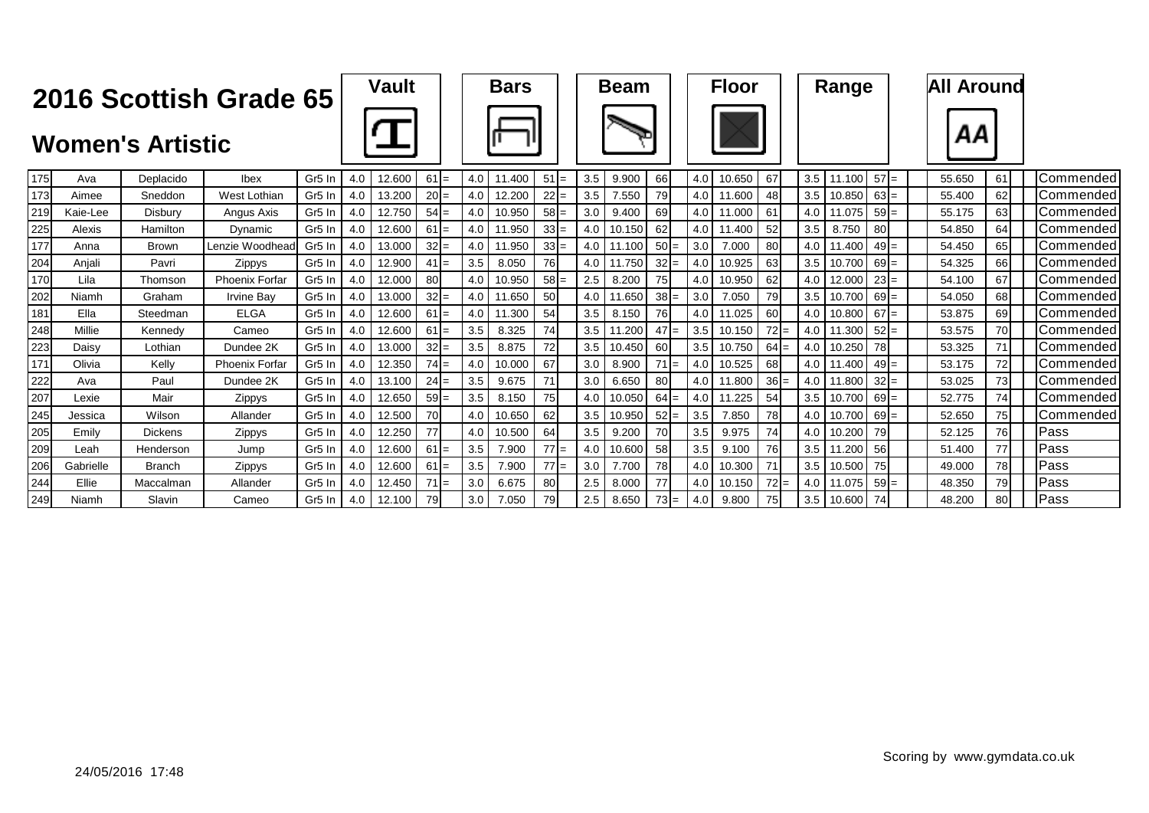|     |           | <b>Women's Artistic</b> | 2016 Scottish Grade 65 |                    |     | <b>Vault</b> |        |     | <b>Bars</b> |                 |     | <b>Beam</b> |        |     |     | <b>Floor</b> |        |     | Range        |        | <b>All Around</b><br>ΑА |           |                  |
|-----|-----------|-------------------------|------------------------|--------------------|-----|--------------|--------|-----|-------------|-----------------|-----|-------------|--------|-----|-----|--------------|--------|-----|--------------|--------|-------------------------|-----------|------------------|
| 175 | Ava       | Deplacido               | Ibex                   | Gr <sub>5</sub> In | 4.0 | 12.600       | $61 =$ | 4.0 | 11.400      | $51 =$          | 3.5 | 9.900       | 66     |     | 4.0 | 10.650       | 67     | 3.5 | 11.100       | $57 =$ | 55.650                  | 61        | Commended        |
| 173 | Aimee     | Sneddon                 | West Lothian           | Gr <sub>5</sub> In | 4.0 | 13.200       | $20 =$ | 4.0 | 12.200      | $22 =$          | 3.5 | 7.550       | 79     |     | 4.0 | 11.600       | 48     | 3.5 | 10.850       | $63 =$ | 55.400                  | 62        | Commended        |
| 219 | Kaie-Lee  | Disbury                 | Angus Axis             | Gr5 In             | 4.0 | 12.750       | $54 =$ | 4.0 | 10.950      | $58 =$          | 3.0 | 9.400       | 69     |     | 4.0 | 11.000       | 61     | 4.0 | 11.075       | $59 =$ | 55.175                  | 63        | Commended        |
| 225 | Alexis    | Hamilton                | Dynamic                | Gr <sub>5</sub> In | 4.0 | 12.600       | $61 =$ | 4.0 | 11.950      | $33 =$          | 4.0 | 10.150      | 62     |     | 4.0 | 11.400       | 52     | 3.5 | 8.750        | 80     | 54.850                  | 64        | Commended        |
| 177 | Anna      | <b>Brown</b>            | Lenzie Woodhead        | Gr <sub>5</sub> In | 4.0 | 13.000       | $32 =$ | 4.0 | 11.950      | $33 =$          | 4.0 | 11.100      | $50 =$ |     | 3.0 | 7.000        | 80     | 4.0 | 11.400       | $49 =$ | 54.450                  | 65        | Commended        |
| 204 | Anjali    | Pavri                   | Zippys                 | Gr <sub>5</sub> In | 4.0 | 12.900       | $41 =$ | 3.5 | 8.050       | 76              | 4.0 | 11.750      | 32     | $=$ | 4.0 | 10.925       | 63     | 3.5 | 10.700       | $69 =$ | 54.325                  | 66        | Commended        |
| 170 | Lila      | Thomson                 | <b>Phoenix Forfar</b>  | Gr <sub>5</sub> In | 4.0 | 12.000       | 80     | 4.0 | 10.950      | $58 =$          | 2.5 | 8.200       | 75     |     | 4.0 | 10.950       | 62     | 4.0 | 12.000       | $23 =$ | 54.100                  | 67        | Commended        |
| 202 | Niamh     | Graham                  | <b>Irvine Bav</b>      | Gr <sub>5</sub> In | 4.0 | 13.000       | $32 =$ | 4.0 | 11.650      | 50 <sub>l</sub> | 4.0 | 11.650      | 38     | $=$ | 3.0 | 7.050        | 79     |     | 3.5 10.700   | $69 =$ | 54.050                  | 68        | Commended        |
| 181 | Ella      | Steedman                | <b>ELGA</b>            | Gr <sub>5</sub> In | 4.0 | 12.600       | $61 =$ | 4.0 | 11.300      | 54              | 3.5 | 8.150       | 76     |     | 4.0 | 11.025       | 60     | 4.0 | 10.800       | $67 =$ | 53.875                  | 69        | Commended        |
| 248 | Millie    | Kennedv                 | Cameo                  | Gr <sub>5</sub> In | 4.0 | 12.600       | $61 =$ | 3.5 | 8.325       | 74              | 3.5 | 11.200      | $47 =$ |     | 3.5 | 10.150       | $72 =$ | 4.0 | 11.300       | $52 =$ | 53.575                  | <b>70</b> | Commended        |
| 223 | Daisv     | Lothian                 | Dundee 2K              | Gr <sub>5</sub> In | 4.0 | 13.000       | $32 =$ | 3.5 | 8.875       | 72              | 3.5 | 10.450      | 60     |     | 3.5 | 10.750       | $64 =$ | 4.0 | 10.250       | 78     | 53.325                  |           | Commended        |
| 171 | Olivia    | Kelly                   | <b>Phoenix Forfar</b>  | Gr <sub>5</sub> In | 4.0 | 12.350       | $74 =$ | 4.0 | 10.000      | 67              | 3.0 | 8.900       | $71 =$ |     | 4.0 | 10.525       | 68     | 4.0 | 11.400       | $49 =$ | 53.175                  | 72.       | Commended        |
| 222 | Ava       | Paul                    | Dundee 2K              | Gr <sub>5</sub> In | 4.0 | 13.100       | $24 =$ | 3.5 | 9.675       | 71              | 3.0 | 6.650       | 80     |     | 4.0 | 11.800       | $36 =$ | 4.0 | 11.800       | $32 =$ | 53.025                  | 73        | Commended        |
| 207 | Lexie     | Mair                    | Zippys                 | Gr <sub>5</sub> In | 4.0 | 12.650       | $59 =$ | 3.5 | 8.150       | 75              | 4.0 | 10.050      | 64     | $=$ | 4.0 | 11.225       | 54     |     | $3.5$ 10.700 | $69 =$ | 52.775                  | 74        | <b>Commended</b> |
| 245 | Jessica   | Wilson                  | Allander               | Gr <sub>5</sub> In | 4.0 | 12.500       | 70     | 4.0 | 10.650      | 62              | 3.5 | 10.950      | $52 =$ |     | 3.5 | 7.850        | 78     | 4.0 | 10.700       | $69 =$ | 52.650                  | 75        | Commended        |
| 205 | Emily     | <b>Dickens</b>          | Zippys                 | Gr <sub>5</sub> In | 4.0 | 12.250       | 77     | 4.0 | 10.500      | 64              | 3.5 | 9.200       | 70     |     | 3.5 | 9.975        | 74     | 4.0 | 10.200       | 79     | 52.125                  | <b>76</b> | Pass             |
| 209 | Leah      | Henderson               | Jump                   | Gr <sub>5</sub> In | 4.0 | 12.600       | $61 =$ | 3.5 | 7.900       | $77 =$          | 4.0 | 10.600      | 58     |     | 3.5 | 9.100        | 76     |     | 3.5 11.200   | 56     | 51.400                  | 77        | Pass             |
| 206 | Gabrielle | <b>Branch</b>           | Zippys                 | Gr <sub>5</sub> In | 4.0 | 12.600       | $61 =$ | 3.5 | 7.900       | $77 =$          | 3.0 | 7.700       | 78     |     | 4.0 | 10.300       | 71     | 3.5 | 10.500       | 75     | 49.000                  | 78        | Pass             |
| 244 | Ellie     | Maccalman               | Allander               | Gr5 In             | 4.0 | 12.450       | $71 =$ | 3.0 | 6.675       | 80              | 2.5 | 8.000       | 77     |     | 4.0 | 10.150       | $72 =$ | 4.0 | 11.075       | $59 =$ | 48.350                  | 79        | Pass             |
| 249 | Niamh     | Slavin                  | Cameo                  | Gr <sub>5</sub> In | 4.0 | 12.100       | 79     | 3.0 | 7.050       | 79I             | 2.5 | 8.650       | $73 =$ |     | 4.0 | 9.800        | 75     | 3.5 | 10.600       | 74     | 48.200                  | 80        | <b>Pass</b>      |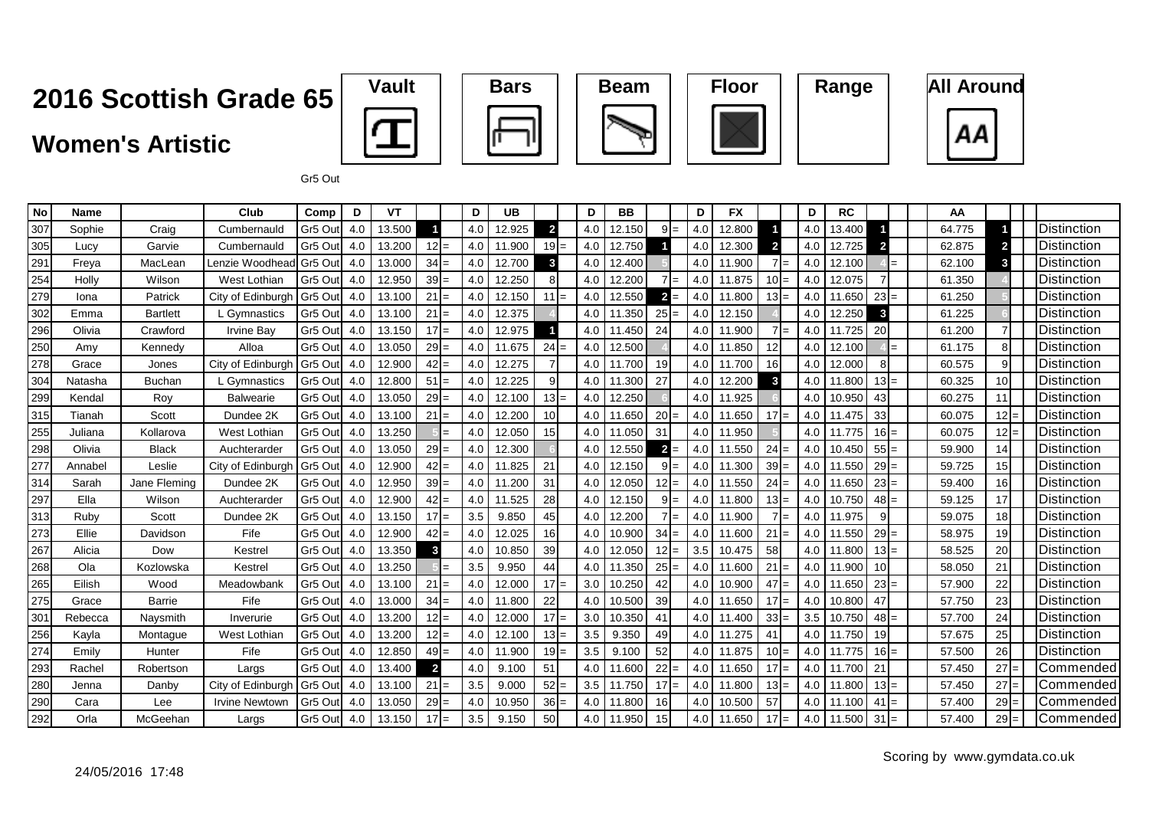#### **Women's Artistic**









Gr5 Out

| No  | <b>Name</b> |                 | Club                  | Comp    | D   | VT     |                | D   | <b>UB</b> |              | D   | <b>BB</b> |                |     | D                | <b>FX</b>  |                        | D   | <b>RC</b> |                         | AA     |        |                      |
|-----|-------------|-----------------|-----------------------|---------|-----|--------|----------------|-----|-----------|--------------|-----|-----------|----------------|-----|------------------|------------|------------------------|-----|-----------|-------------------------|--------|--------|----------------------|
| 307 | Sophie      | Craig           | Cumbernauld           | Gr5 Out | 4.0 | 13.500 |                | 4.0 | 12.925    | $\mathbf{2}$ | 4.0 | 12.150    | $9 =$          |     | 4.0              | 12.800     |                        | 4.0 | 13.400    |                         | 64.775 |        | <b>IDistinction</b>  |
| 305 | Lucv        | Garvie          | Cumbernauld           | Gr5 Out | 4.0 | 13.200 | $12 =$         | 4.0 | 11.900    | $19 =$       | 4.0 | 12.750    |                |     | 4.0              | 12.300     | $\mathbf{2}$           | 4.0 | 12.725    | $\overline{\mathbf{2}}$ | 62.875 |        | <b>IDistinction</b>  |
| 291 | Freya       | MacLean         | Lenzie Woodhead       | Gr5 Out | 4.0 | 13.000 | $34 =$         | 4.0 | 12.700    | 3            | 4.0 | 12.400    |                |     | 4.0              | 11.900     | $\overline{7}$<br>$=$  | 4.0 | 12.100    | $=$                     | 62.100 |        | Distinction          |
| 254 | Holly       | Wilson          | West Lothian          | Gr5 Out | 4.0 | 12.950 | $39 =$         | 4.0 | 12.250    |              | 4.0 | 12.200    | $7 =$          |     | $4.0\text{ }$    | 11.875     | $10 =$                 | 4.0 | 12.075    |                         | 61.350 |        | <b>I</b> Distinction |
| 279 | Iona        | Patrick         | City of Edinburgh     | Gr5 Out | 4.0 | 13.100 | $21 =$         | 4.0 | 12.150    | $11 =$       | 4.0 | 12.550    | $2 =$          |     | $4.0\vert$       | 11.800     | $13 =$                 | 4.0 | 11.650    | $23 =$                  | 61.250 |        | Distinction          |
| 302 | Emma        | <b>Bartlett</b> | L Gymnastics          | Gr5 Out | 4.0 | 13.100 | 21             | 4.0 | 12.375    |              | 4.0 | 11.350    | $25 =$         |     | 4.0              | 12.150     |                        | 4.0 | 12.250    | 3                       | 61.225 |        | <b>I</b> Distinction |
| 296 | Olivia      | Crawford        | <b>Irvine Bay</b>     | Gr5 Out | 4.0 | 13.150 | $17 =$         | 4.0 | 12.975    |              | 4.0 | 11.450    | 24             |     | 4.0              | 11.900     | $\overline{7}$<br>$=$  | 4.0 | 11.725    | 20                      | 61.200 |        | <b>IDistinction</b>  |
| 250 | Amy         | Kennedy         | Alloa                 | Gr5 Out | 4.0 | 13.050 | $29 =$         | 4.0 | 11.675    | $24 =$       | 4.0 | 12.500    |                |     | 4.0              | 11.850     | 12                     | 4.0 | 12.100    | $=$                     | 61.175 |        | <b>IDistinction</b>  |
| 278 | Grace       | Jones           | City of Edinburgh     | Gr5 Out | 4.0 | 12.900 | $42 =$         | 4.0 | 12.275    |              | 4.0 | 11.700    | 19             |     | 4.0 <sub>1</sub> | 11.700     | 16                     | 4.0 | 12.000    | 8                       | 60.575 |        | <b>I</b> Distinction |
| 304 | Natasha     | <b>Buchan</b>   | L Gymnastics          | Gr5 Out | 4.0 | 12.800 | $51 =$         | 4.0 | 12.225    |              | 4.0 | 11.300    | 27             |     | 4.0              | 12.200     | $\mathbf{3}$           | 4.0 | 11.800    | $13 =$                  | 60.325 | 10     | Distinction          |
| 299 | Kendal      | Roy             | <b>Balwearie</b>      | Gr5 Out | 4.0 | 13.050 | $29 =$         | 4.0 | 12.100    | $13 =$       | 4.0 | 12.250    |                |     | 4.0 <sub>1</sub> | 11.925     |                        | 4.0 | 10.950    | 43                      | 60.275 | 11     | <b>IDistinction</b>  |
| 315 | Tianah      | Scott           | Dundee 2K             | Gr5 Out | 4.0 | 13.100 | 21<br>$=$      | 4.0 | 12.200    | 10           | 4.0 | 11.650    | 20             |     | 4.0 <sub>1</sub> | 11.650     | 17 <sup>1</sup><br>$=$ | 4.0 | 11.475    | 33                      | 60.075 | 12     | <b>IDistinction</b>  |
| 255 | Juliana     | Kollarova       | West Lothian          | Gr5 Out | 4.0 | 13.250 |                | 4.0 | 12.050    | 15           | 4.0 | 11.050    | 31             |     | $4.0\text{ }$    | 11.950     |                        | 4.0 | 11.775    | $16 =$                  | 60.075 |        | <b>IDistinction</b>  |
| 298 | Olivia      | <b>Black</b>    | Auchterarder          | Gr5 Out | 4.0 | 13.050 | $29 =$         | 4.0 | 12.300    |              | 4.0 | 12.550    | $\overline{2}$ | $=$ | 4.0              | 11.550     | $24 =$                 | 4.0 | 10.450    | $55 =$                  | 59.900 | 14     | Distinction          |
| 277 | Annabel     | Leslie          | City of Edinburgh     | Gr5 Out | 4.0 | 12.900 | $42 =$         | 4.0 | 11.825    | 21           | 4.0 | 12.150    | $9 =$          |     | 4.0 l            | 11.300     | 39                     | 4.0 | 11.550    | $29 =$                  | 59.725 | 15     | <b>IDistinction</b>  |
| 314 | Sarah       | Jane Fleming    | Dundee 2K             | Gr5 Out | 4.0 | 12.950 | $39 =$         | 4.0 | 11.200    | 31           | 4.0 | 12.050    | $12 =$         |     | 4.0              | 11.550     | $24 =$                 | 4.0 | 11.650    | $23 =$                  | 59.400 | 16     | <b>IDistinction</b>  |
| 297 | Ella        | Wilson          | Auchterarder          | Gr5 Out | 4.0 | 12.900 | $42 =$         | 4.0 | 11.525    | 28           | 4.0 | 12.150    | 9              |     | 4.0              | 11.800     | $13 =$                 | 4.0 | 10.750    | 48                      | 59.125 | 17     | Distinction          |
| 313 | Ruby        | Scott           | Dundee 2K             | Gr5 Out | 4.0 | 13.150 | $17 =$         | 3.5 | 9.850     | 45           | 4.0 | 12.200    | $7 =$          |     | 4.0 l            | 11.900     | $7 =$                  | 4.0 | 11.975    | 9                       | 59.075 | 18     | Distinction          |
| 273 | Ellie       | Davidson        | Fife                  | Gr5 Out | 4.0 | 12.900 | $42 =$         | 4.0 | 12.025    | 16           | 4.0 | 10.900    | $34 =$         |     | 4.0 <sub>1</sub> | 11.600     | $21 =$                 | 4.0 | 11.550    | $29 =$                  | 58.975 | 19     | <b>I</b> Distinction |
| 267 | Alicia      | Dow             | Kestrel               | Gr5 Out | 4.0 | 13.350 | 3              | 4.0 | 10.850    | 39           | 4.0 | 12.050    | $12 =$         |     | 3.5              | 10.475     | 58                     | 4.0 | 11.800    | $13 =$                  | 58.525 | 20     | Distinction          |
| 268 | Ola         | Kozlowska       | Kestrel               | Gr5 Out | 4.0 | 13.250 |                | 3.5 | 9.950     | 44           | 4.0 | 11.350    | 25             |     | 4.0              | 11.600     | $21 =$                 | 4.0 | 11.900    | 10                      | 58.050 | 21     | <b>IDistinction</b>  |
| 265 | Eilish      | Wood            | Meadowbank            | Gr5 Out | 4.0 | 13.100 | 21             | 4.0 | 12.000    | 17<br>$=$    | 3.0 | 10.250    | 42             |     | 4.0              | 10.900     | 47<br>$=$              | 4.0 | 11.650    | 23                      | 57.900 | 22     | Distinction          |
| 275 | Grace       | Barrie          | Fife                  | Gr5 Out | 4.0 | 13.000 | $34 =$         | 4.0 | 11.800    | 22           | 4.0 | 10.500    | 39             |     | $4.0\text{ }$    | 11.650     | $17 =$                 | 4.0 | 10.800    | 47                      | 57.750 | 23     | <b>I</b> Distinction |
| 301 | Rebecca     | Naysmith        | Inverurie             | Gr5 Out | 4.0 | 13.200 | $12 =$         | 4.0 | 12.000    | $17 =$       | 3.0 | 10.350    | 41             |     | 4.0 <sub>1</sub> | 11.400     | $33 =$                 | 3.5 | 10.750    | $48 =$                  | 57.700 | 24     | <b>I</b> Distinction |
| 256 | Kayla       | Montague        | West Lothian          | Gr5 Out | 4.0 | 13.200 | $12 =$         | 4.0 | 12.100    | $13 =$       | 3.5 | 9.350     | 49             |     | 4.0 <sub>1</sub> | 11.275     | 41                     | 4.0 | 11.750    | 19                      | 57.675 | 25     | <b>IDistinction</b>  |
| 274 | Emily       | Hunter          | Fife                  | Gr5 Out | 4.0 | 12.850 | $49 =$         | 4.0 | 11.900    | $19 =$       | 3.5 | 9.100     | 52             |     | 4.0              | 11.875     | $10 =$                 | 4.0 | 11.775    | <b>16</b>               | 57.500 | 26     | <b>IDistinction</b>  |
| 293 | Rachel      | Robertson       | Largs                 | Gr5 Out | 4.0 | 13.400 | $\overline{2}$ | 4.0 | 9.100     | 51           | 4.0 | 11.600    | 22             |     | 4.0              | 11.650     | 17 <sup>1</sup><br>$=$ | 4.0 | 11.700    | 21                      | 57.450 | 27     | Commended            |
| 280 | Jenna       | Danby           | City of Edinburgh     | Gr5 Out | 4.0 | 13.100 | $21 =$         | 3.5 | 9.000     | $52 =$       | 3.5 | 11.750    | 17             |     | 4.0              | 11.800     | $13 =$                 | 4.0 | 11.800    | $13 =$                  | 57.450 | 27     | Commended            |
| 290 | Cara        | Lee             | <b>Irvine Newtown</b> | Gr5 Out | 4.0 | 13.050 | $29 =$         | 4.0 | 10.950    | $36 =$       | 4.0 | 11.800    | 16             |     | 4.0              | 10.500     | 57                     | 4.0 | 11.100    | $41 =$                  | 57.400 | $29 =$ | Commended            |
| 292 | Orla        | McGeehan        | Largs                 | Gr5 Out | 4.0 | 13.150 | $17 =$         | 3.5 | 9.150     | 50           | 4.0 | 11.950    | 15             |     |                  | 4.0 11.650 | 17                     | 4.0 | 11.500    | 31                      | 57.400 | $29 =$ | <b>Commended</b>     |